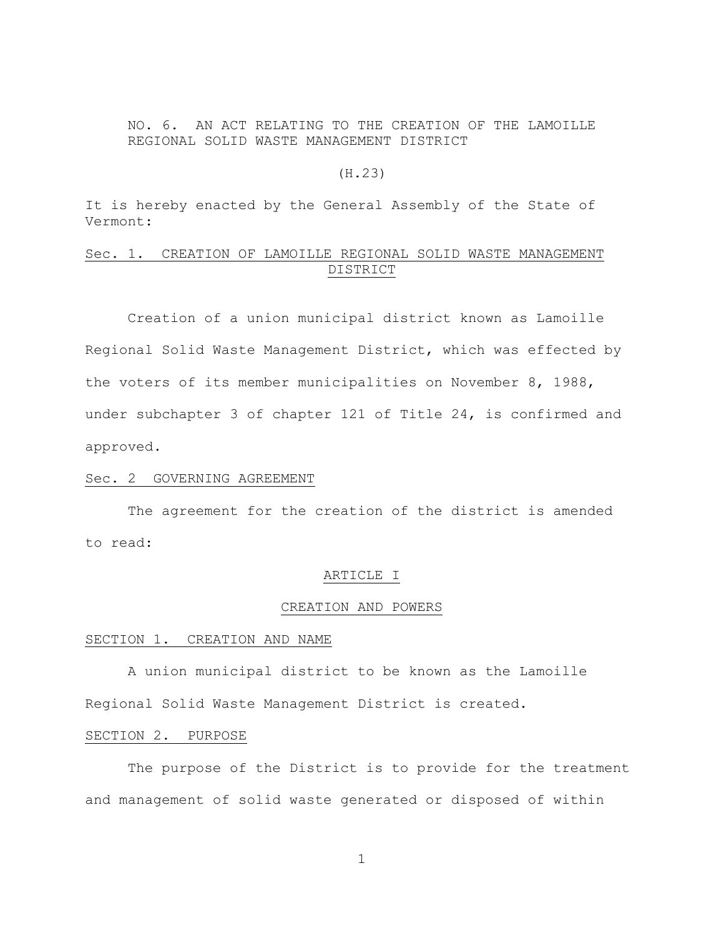NO. 6. AN ACT RELATING TO THE CREATION OF THE LAMOILLE REGIONAL SOLID WASTE MANAGEMENT DISTRICT

### (H.23)

It is hereby enacted by the General Assembly of the State of Vermont:

# Sec. 1. CREATION OF LAMOILLE REGIONAL SOLID WASTE MANAGEMENT DISTRICT

Creation of a union municipal district known as Lamoille Regional Solid Waste Management District, which was effected by the voters of its member municipalities on November 8, 1988, under subchapter 3 of chapter 121 of Title 24, is confirmed and approved.

#### Sec. 2 GOVERNING AGREEMENT

The agreement for the creation of the district is amended to read:

#### ARTICLE I

#### CREATION AND POWERS

#### SECTION 1. CREATION AND NAME

A union municipal district to be known as the Lamoille Regional Solid Waste Management District is created.

#### SECTION 2. PURPOSE

The purpose of the District is to provide for the treatment and management of solid waste generated or disposed of within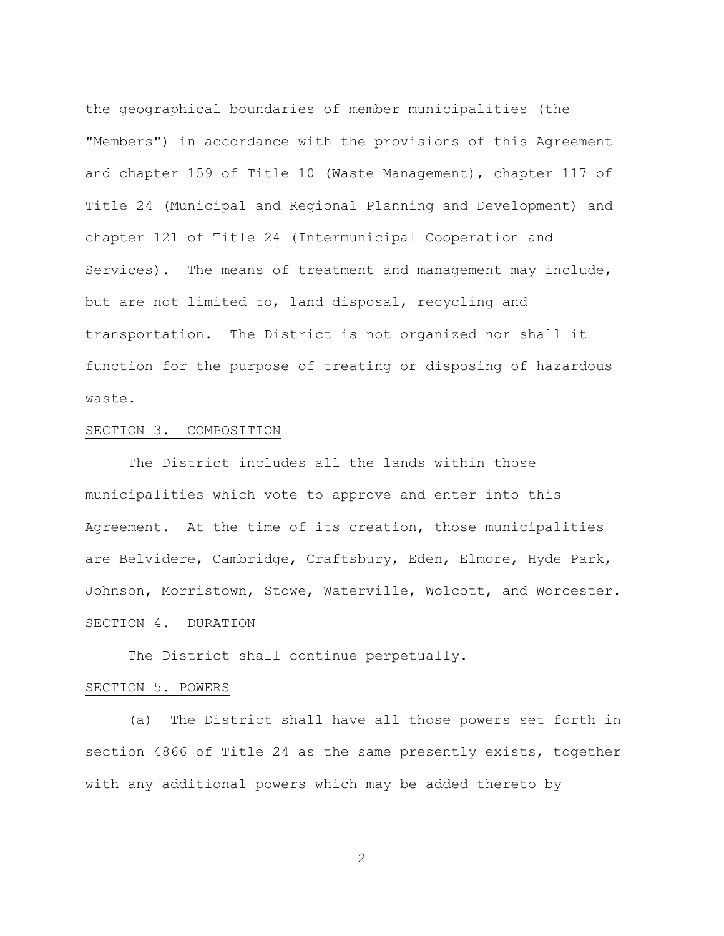the geographical boundaries of member municipalities (the "Members") in accordance with the provisions of this Agreement and chapter 159 of Title 10 (Waste Management), chapter 117 of Title 24 (Municipal and Regional Planning and Development) and chapter 121 of Title 24 (Intermunicipal Cooperation and Services). The means of treatment and management may include, but are not limited to, land disposal, recycling and transportation. The District is not organized nor shall it function for the purpose of treating or disposing of hazardous waste.

### SECTION 3. COMPOSITION

The District includes all the lands within those municipalities which vote to approve and enter into this Agreement. At the time of its creation, those municipalities are Belvidere, Cambridge, Craftsbury, Eden, Elmore, Hyde Park, Johnson, Morristown, Stowe, Waterville, Wolcott, and Worcester. SECTION 4. DURATION

The District shall continue perpetually.

#### SECTION 5. POWERS

(a) The District shall have all those powers set forth in section 4866 of Title 24 as the same presently exists, together with any additional powers which may be added thereto by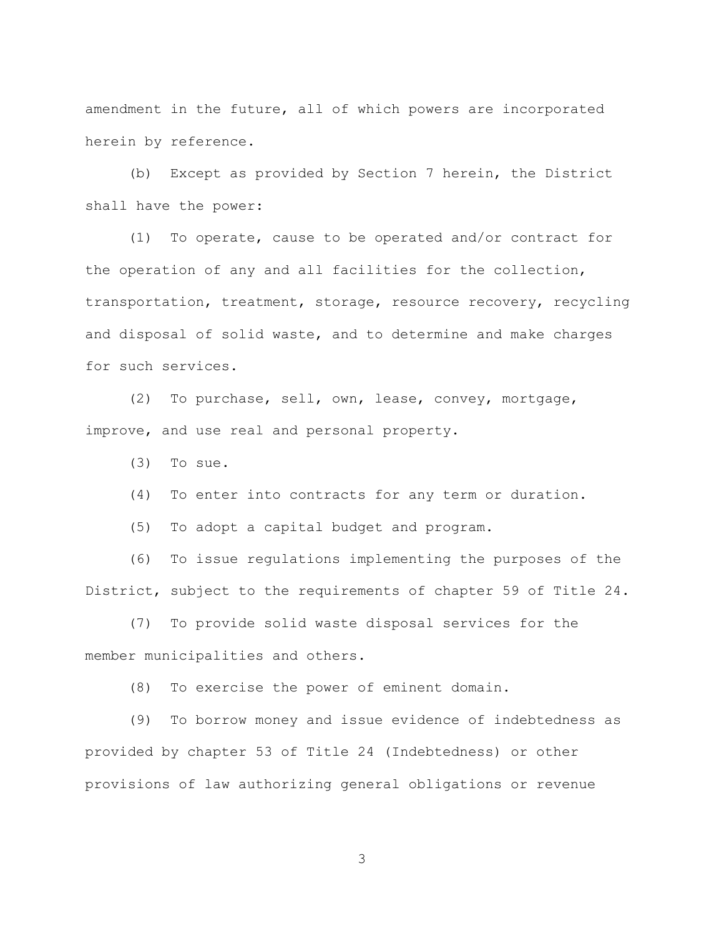amendment in the future, all of which powers are incorporated herein by reference.

(b) Except as provided by Section 7 herein, the District shall have the power:

(1) To operate, cause to be operated and/or contract for the operation of any and all facilities for the collection, transportation, treatment, storage, resource recovery, recycling and disposal of solid waste, and to determine and make charges for such services.

(2) To purchase, sell, own, lease, convey, mortgage, improve, and use real and personal property.

(3) To sue.

(4) To enter into contracts for any term or duration.

(5) To adopt a capital budget and program.

(6) To issue regulations implementing the purposes of the District, subject to the requirements of chapter 59 of Title 24.

(7) To provide solid waste disposal services for the member municipalities and others.

(8) To exercise the power of eminent domain.

(9) To borrow money and issue evidence of indebtedness as provided by chapter 53 of Title 24 (Indebtedness) or other provisions of law authorizing general obligations or revenue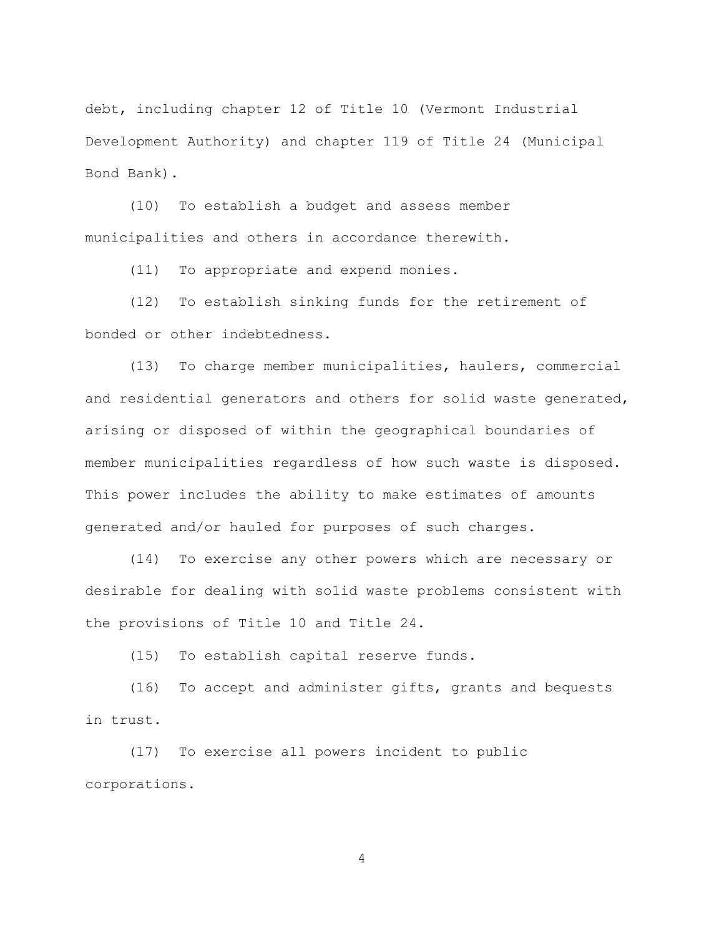debt, including chapter 12 of Title 10 (Vermont Industrial Development Authority) and chapter 119 of Title 24 (Municipal Bond Bank).

(10) To establish a budget and assess member municipalities and others in accordance therewith.

(11) To appropriate and expend monies.

(12) To establish sinking funds for the retirement of bonded or other indebtedness.

(13) To charge member municipalities, haulers, commercial and residential generators and others for solid waste generated, arising or disposed of within the geographical boundaries of member municipalities regardless of how such waste is disposed. This power includes the ability to make estimates of amounts generated and/or hauled for purposes of such charges.

(14) To exercise any other powers which are necessary or desirable for dealing with solid waste problems consistent with the provisions of Title 10 and Title 24.

(15) To establish capital reserve funds.

(16) To accept and administer gifts, grants and bequests in trust.

(17) To exercise all powers incident to public corporations.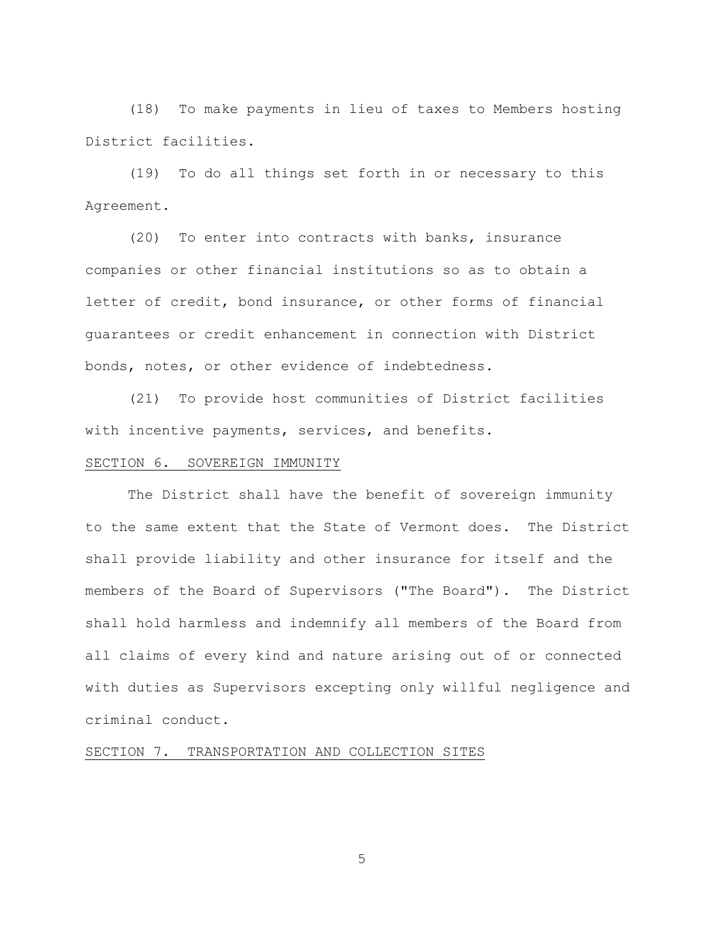(18) To make payments in lieu of taxes to Members hosting District facilities.

(19) To do all things set forth in or necessary to this Agreement.

(20) To enter into contracts with banks, insurance companies or other financial institutions so as to obtain a letter of credit, bond insurance, or other forms of financial guarantees or credit enhancement in connection with District bonds, notes, or other evidence of indebtedness.

(21) To provide host communities of District facilities with incentive payments, services, and benefits.

# SECTION 6. SOVEREIGN IMMUNITY

The District shall have the benefit of sovereign immunity to the same extent that the State of Vermont does. The District shall provide liability and other insurance for itself and the members of the Board of Supervisors ("The Board"). The District shall hold harmless and indemnify all members of the Board from all claims of every kind and nature arising out of or connected with duties as Supervisors excepting only willful negligence and criminal conduct.

SECTION 7. TRANSPORTATION AND COLLECTION SITES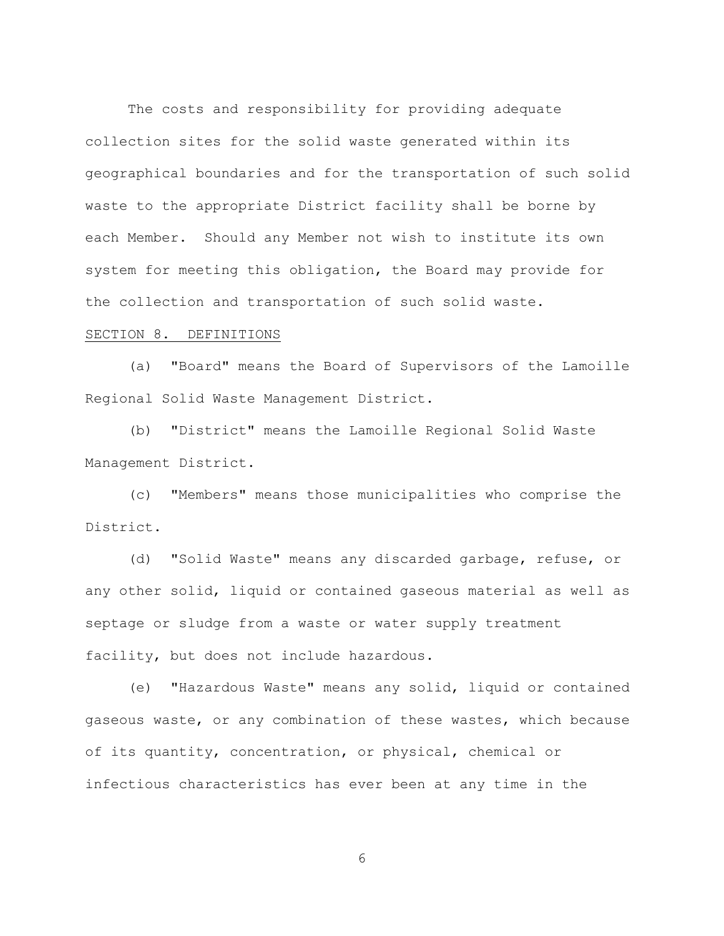The costs and responsibility for providing adequate collection sites for the solid waste generated within its geographical boundaries and for the transportation of such solid waste to the appropriate District facility shall be borne by each Member. Should any Member not wish to institute its own system for meeting this obligation, the Board may provide for the collection and transportation of such solid waste.

#### SECTION 8. DEFINITIONS

(a) "Board" means the Board of Supervisors of the Lamoille Regional Solid Waste Management District.

(b) "District" means the Lamoille Regional Solid Waste Management District.

(c) "Members" means those municipalities who comprise the District.

(d) "Solid Waste" means any discarded garbage, refuse, or any other solid, liquid or contained gaseous material as well as septage or sludge from a waste or water supply treatment facility, but does not include hazardous.

(e) "Hazardous Waste" means any solid, liquid or contained gaseous waste, or any combination of these wastes, which because of its quantity, concentration, or physical, chemical or infectious characteristics has ever been at any time in the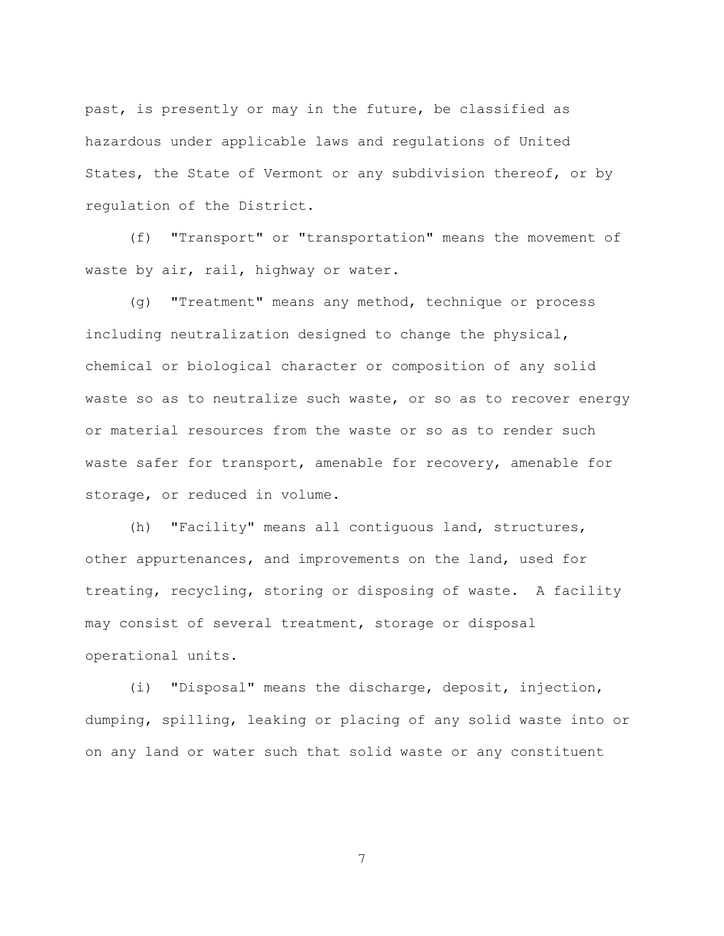past, is presently or may in the future, be classified as hazardous under applicable laws and regulations of United States, the State of Vermont or any subdivision thereof, or by regulation of the District.

(f) "Transport" or "transportation" means the movement of waste by air, rail, highway or water.

(g) "Treatment" means any method, technique or process including neutralization designed to change the physical, chemical or biological character or composition of any solid waste so as to neutralize such waste, or so as to recover energy or material resources from the waste or so as to render such waste safer for transport, amenable for recovery, amenable for storage, or reduced in volume.

(h) "Facility" means all contiguous land, structures, other appurtenances, and improvements on the land, used for treating, recycling, storing or disposing of waste. A facility may consist of several treatment, storage or disposal operational units.

(i) "Disposal" means the discharge, deposit, injection, dumping, spilling, leaking or placing of any solid waste into or on any land or water such that solid waste or any constituent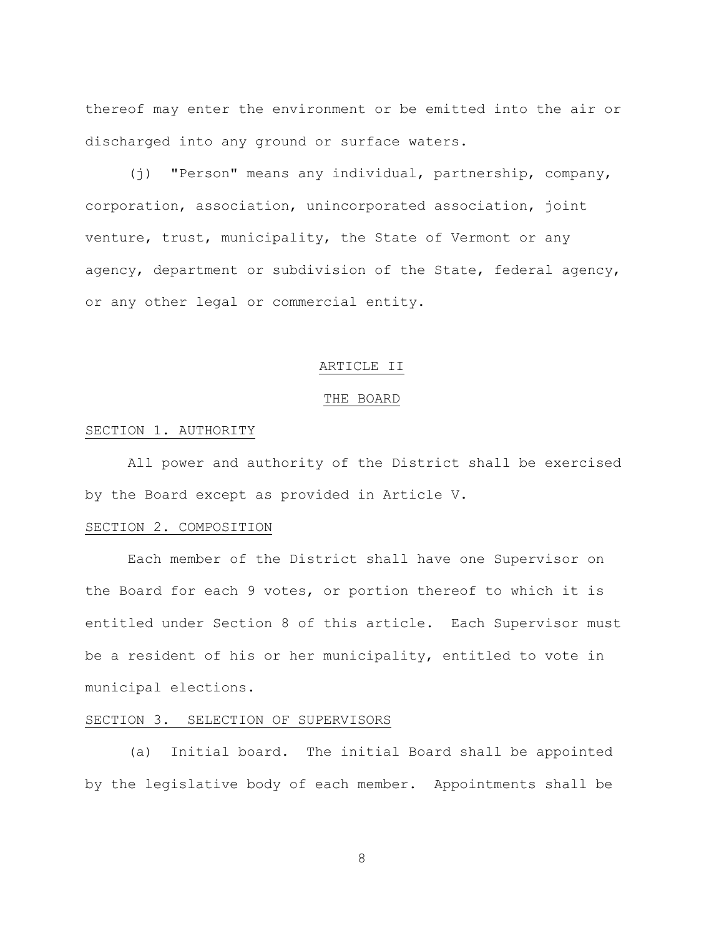thereof may enter the environment or be emitted into the air or discharged into any ground or surface waters.

(j) "Person" means any individual, partnership, company, corporation, association, unincorporated association, joint venture, trust, municipality, the State of Vermont or any agency, department or subdivision of the State, federal agency, or any other legal or commercial entity.

### ARTICLE II

#### THE BOARD

#### SECTION 1. AUTHORITY

All power and authority of the District shall be exercised by the Board except as provided in Article V.

#### SECTION 2. COMPOSITION

Each member of the District shall have one Supervisor on the Board for each 9 votes, or portion thereof to which it is entitled under Section 8 of this article. Each Supervisor must be a resident of his or her municipality, entitled to vote in municipal elections.

# SECTION 3. SELECTION OF SUPERVISORS

(a) Initial board. The initial Board shall be appointed by the legislative body of each member. Appointments shall be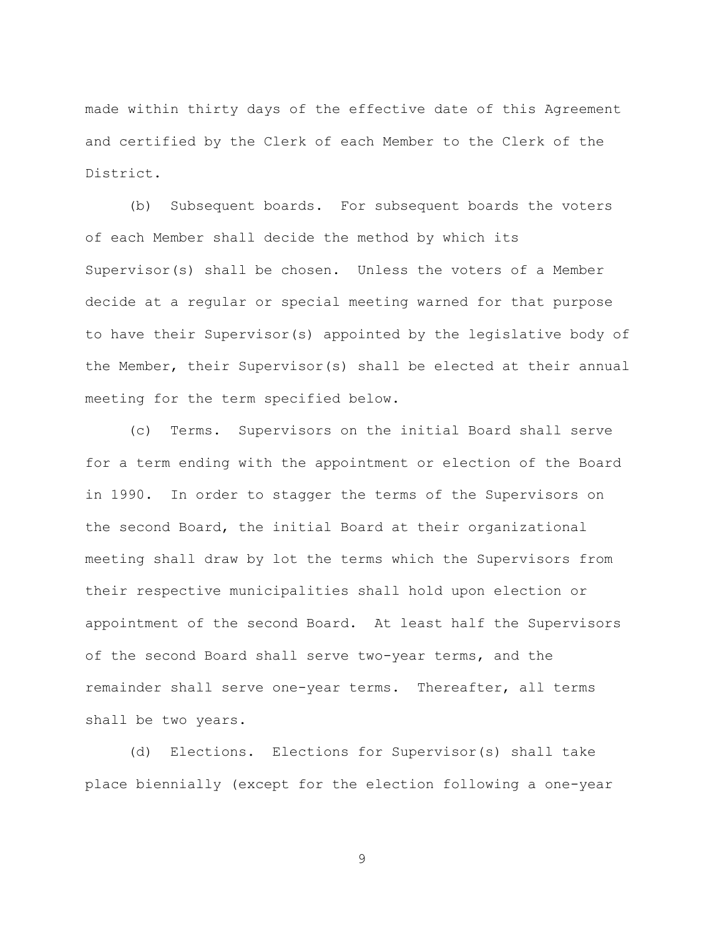made within thirty days of the effective date of this Agreement and certified by the Clerk of each Member to the Clerk of the District.

(b) Subsequent boards. For subsequent boards the voters of each Member shall decide the method by which its Supervisor(s) shall be chosen. Unless the voters of a Member decide at a regular or special meeting warned for that purpose to have their Supervisor(s) appointed by the legislative body of the Member, their Supervisor(s) shall be elected at their annual meeting for the term specified below.

(c) Terms. Supervisors on the initial Board shall serve for a term ending with the appointment or election of the Board in 1990. In order to stagger the terms of the Supervisors on the second Board, the initial Board at their organizational meeting shall draw by lot the terms which the Supervisors from their respective municipalities shall hold upon election or appointment of the second Board. At least half the Supervisors of the second Board shall serve two-year terms, and the remainder shall serve one-year terms. Thereafter, all terms shall be two years.

(d) Elections. Elections for Supervisor(s) shall take place biennially (except for the election following a one-year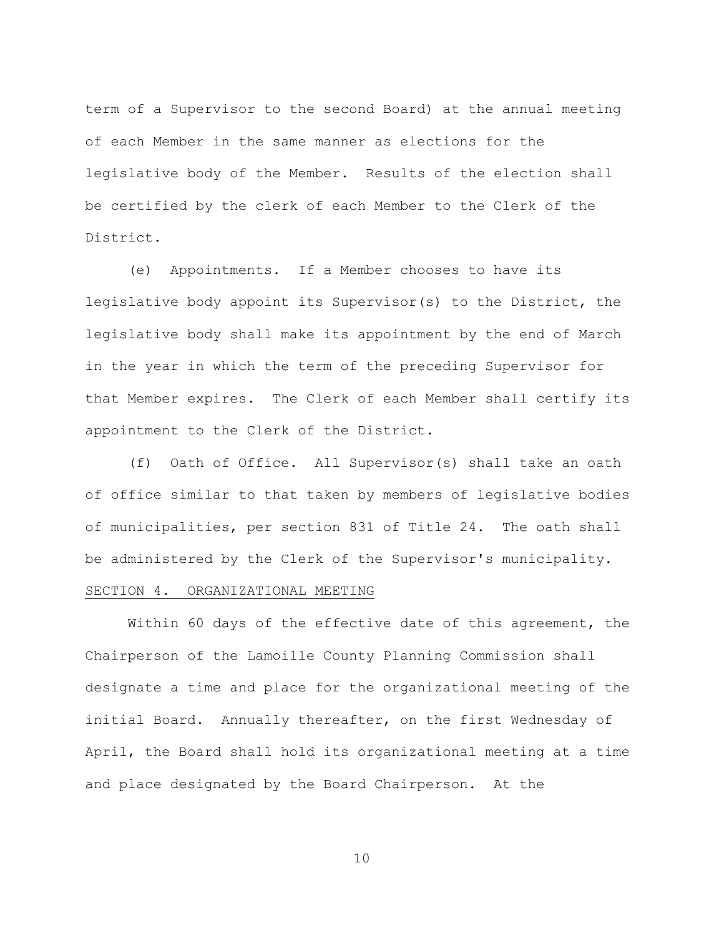term of a Supervisor to the second Board) at the annual meeting of each Member in the same manner as elections for the legislative body of the Member. Results of the election shall be certified by the clerk of each Member to the Clerk of the District.

(e) Appointments. If a Member chooses to have its legislative body appoint its Supervisor(s) to the District, the legislative body shall make its appointment by the end of March in the year in which the term of the preceding Supervisor for that Member expires. The Clerk of each Member shall certify its appointment to the Clerk of the District.

(f) Oath of Office. All Supervisor(s) shall take an oath of office similar to that taken by members of legislative bodies of municipalities, per section 831 of Title 24. The oath shall be administered by the Clerk of the Supervisor's municipality. SECTION 4. ORGANIZATIONAL MEETING

Within 60 days of the effective date of this agreement, the Chairperson of the Lamoille County Planning Commission shall designate a time and place for the organizational meeting of the initial Board. Annually thereafter, on the first Wednesday of April, the Board shall hold its organizational meeting at a time and place designated by the Board Chairperson. At the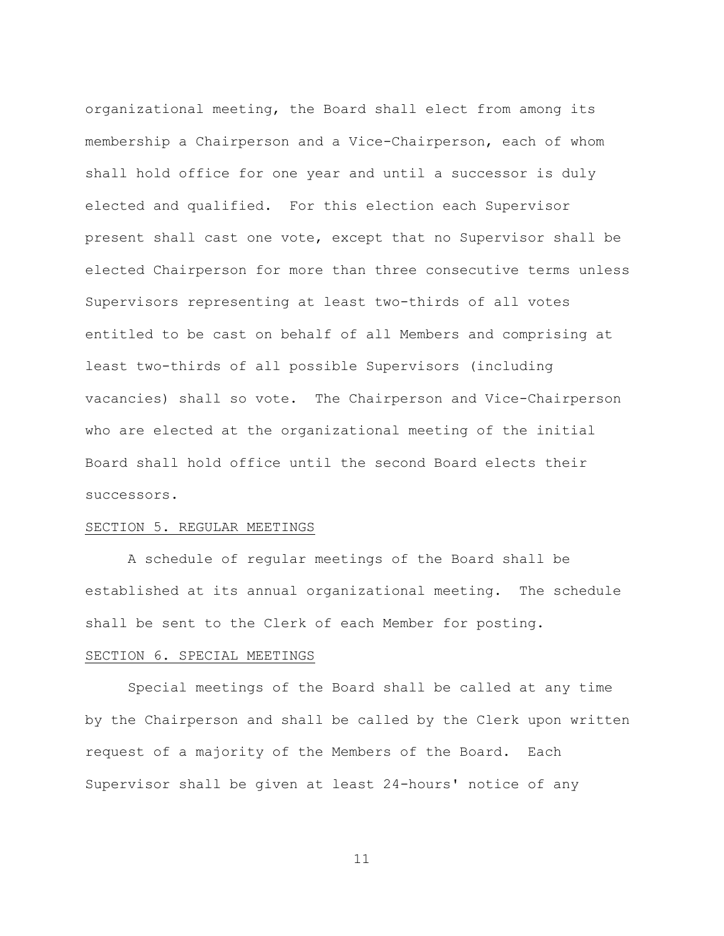organizational meeting, the Board shall elect from among its membership a Chairperson and a Vice-Chairperson, each of whom shall hold office for one year and until a successor is duly elected and qualified. For this election each Supervisor present shall cast one vote, except that no Supervisor shall be elected Chairperson for more than three consecutive terms unless Supervisors representing at least two-thirds of all votes entitled to be cast on behalf of all Members and comprising at least two-thirds of all possible Supervisors (including vacancies) shall so vote. The Chairperson and Vice-Chairperson who are elected at the organizational meeting of the initial Board shall hold office until the second Board elects their successors.

#### SECTION 5. REGULAR MEETINGS

A schedule of regular meetings of the Board shall be established at its annual organizational meeting. The schedule shall be sent to the Clerk of each Member for posting.

# SECTION 6. SPECIAL MEETINGS

Special meetings of the Board shall be called at any time by the Chairperson and shall be called by the Clerk upon written request of a majority of the Members of the Board. Each Supervisor shall be given at least 24-hours' notice of any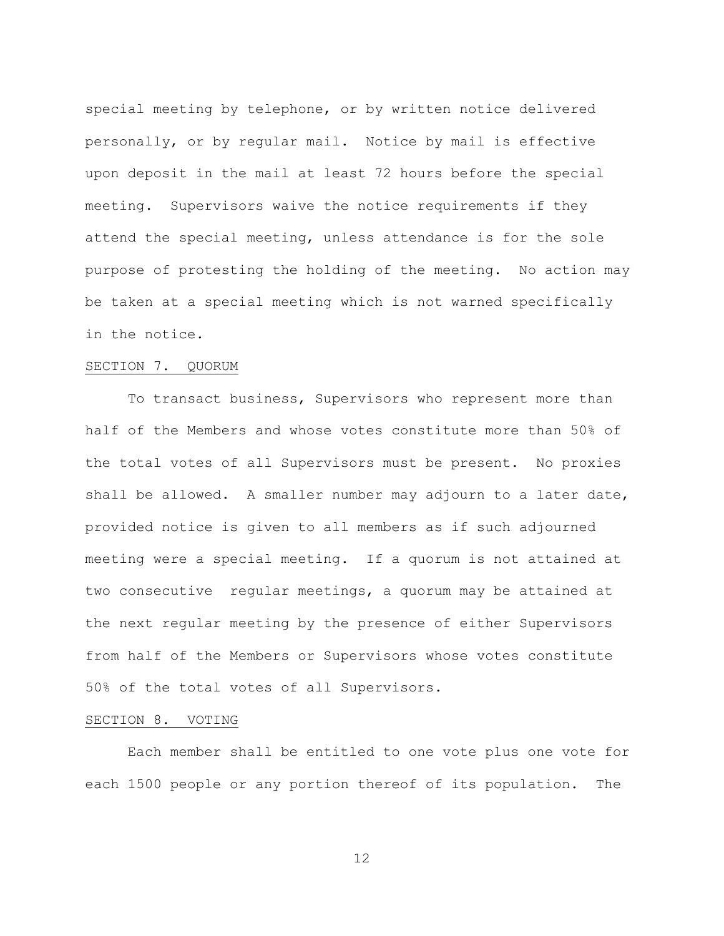special meeting by telephone, or by written notice delivered personally, or by regular mail. Notice by mail is effective upon deposit in the mail at least 72 hours before the special meeting. Supervisors waive the notice requirements if they attend the special meeting, unless attendance is for the sole purpose of protesting the holding of the meeting. No action may be taken at a special meeting which is not warned specifically in the notice.

# SECTION 7. QUORUM

To transact business, Supervisors who represent more than half of the Members and whose votes constitute more than 50% of the total votes of all Supervisors must be present. No proxies shall be allowed. A smaller number may adjourn to a later date, provided notice is given to all members as if such adjourned meeting were a special meeting. If a quorum is not attained at two consecutive regular meetings, a quorum may be attained at the next regular meeting by the presence of either Supervisors from half of the Members or Supervisors whose votes constitute 50% of the total votes of all Supervisors.

### SECTION 8. VOTING

Each member shall be entitled to one vote plus one vote for each 1500 people or any portion thereof of its population. The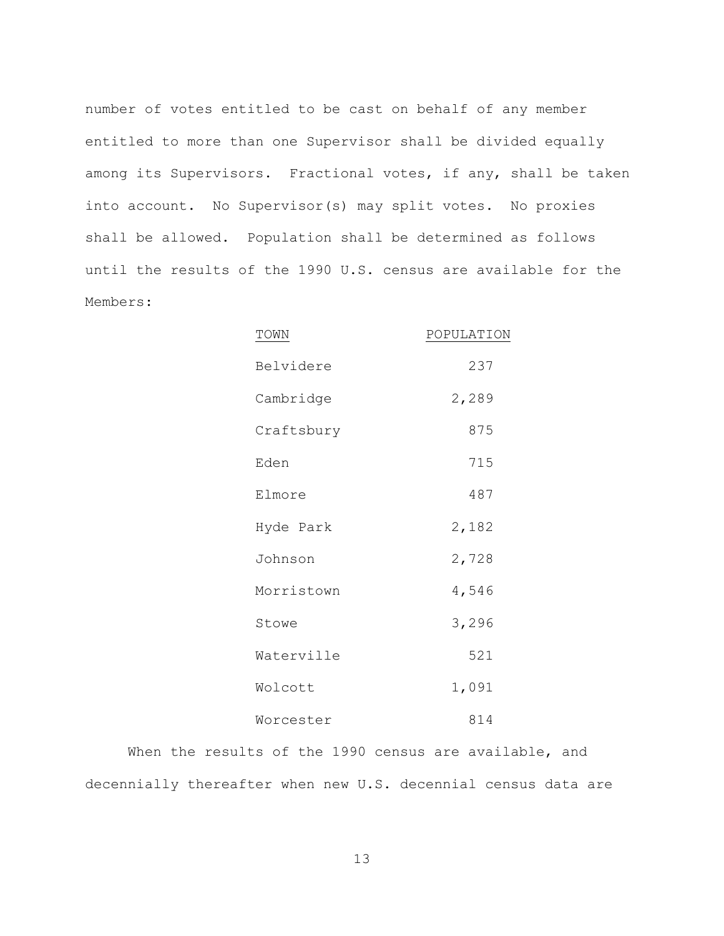number of votes entitled to be cast on behalf of any member entitled to more than one Supervisor shall be divided equally among its Supervisors. Fractional votes, if any, shall be taken into account. No Supervisor(s) may split votes. No proxies shall be allowed. Population shall be determined as follows until the results of the 1990 U.S. census are available for the Members:

| TOWN       | POPULATION |
|------------|------------|
| Belvidere  | 237        |
| Cambridge  | 2,289      |
| Craftsbury | 875        |
| Eden       | 715        |
| Elmore     | 487        |
| Hyde Park  | 2,182      |
| Johnson    | 2,728      |
| Morristown | 4,546      |
| Stowe      | 3,296      |
| Waterville | 521        |
| Wolcott    | 1,091      |
| Worcester  | 814        |

When the results of the 1990 census are available, and decennially thereafter when new U.S. decennial census data are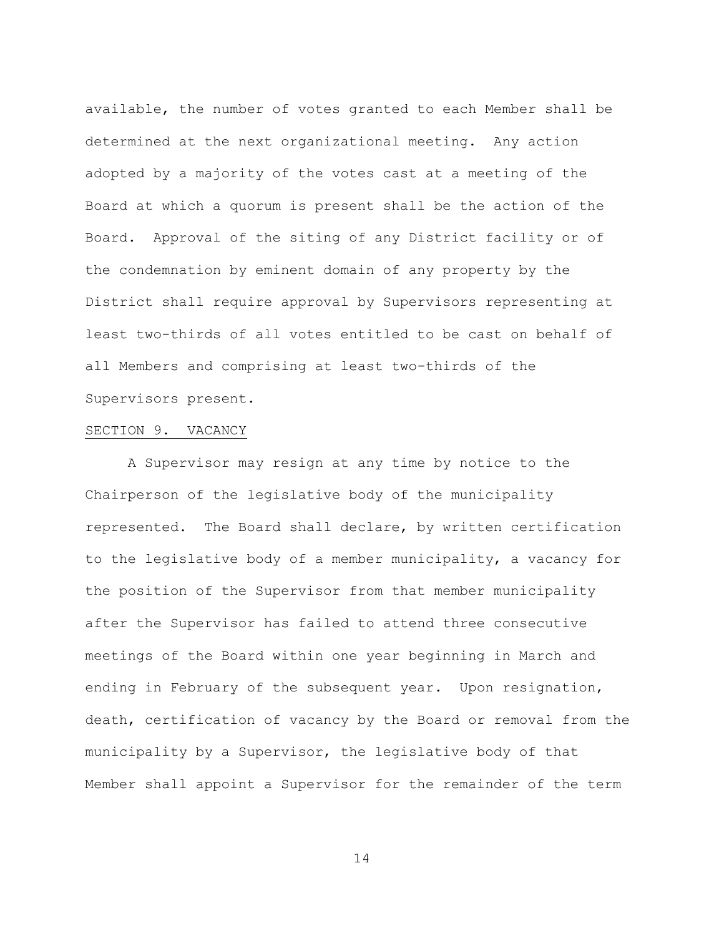available, the number of votes granted to each Member shall be determined at the next organizational meeting. Any action adopted by a majority of the votes cast at a meeting of the Board at which a quorum is present shall be the action of the Board. Approval of the siting of any District facility or of the condemnation by eminent domain of any property by the District shall require approval by Supervisors representing at least two-thirds of all votes entitled to be cast on behalf of all Members and comprising at least two-thirds of the Supervisors present.

### SECTION 9. VACANCY

A Supervisor may resign at any time by notice to the Chairperson of the legislative body of the municipality represented. The Board shall declare, by written certification to the legislative body of a member municipality, a vacancy for the position of the Supervisor from that member municipality after the Supervisor has failed to attend three consecutive meetings of the Board within one year beginning in March and ending in February of the subsequent year. Upon resignation, death, certification of vacancy by the Board or removal from the municipality by a Supervisor, the legislative body of that Member shall appoint a Supervisor for the remainder of the term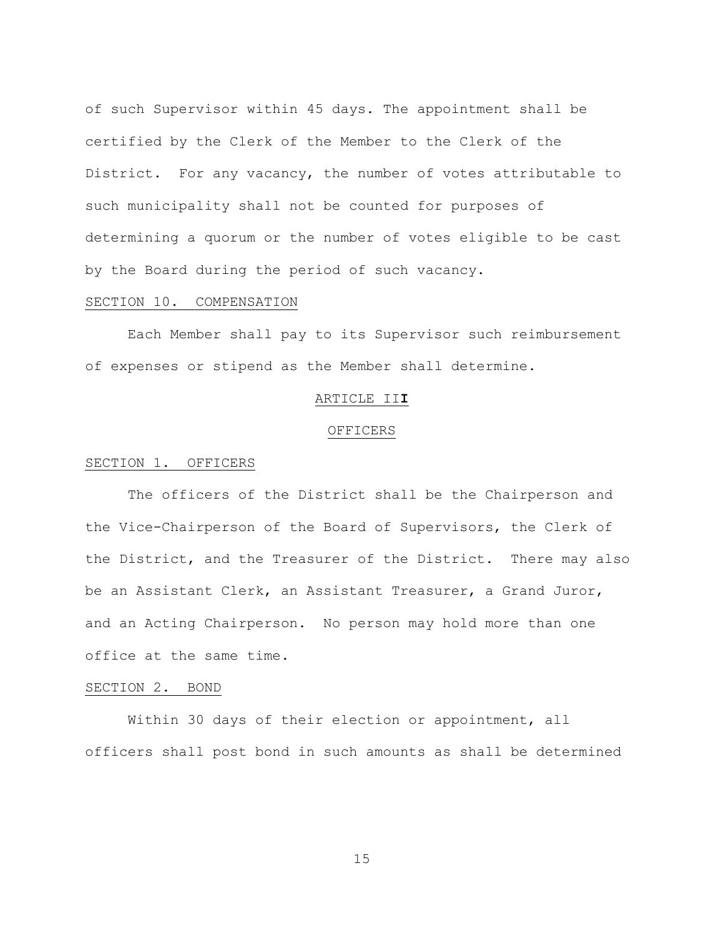of such Supervisor within 45 days. The appointment shall be certified by the Clerk of the Member to the Clerk of the District. For any vacancy, the number of votes attributable to such municipality shall not be counted for purposes of determining a quorum or the number of votes eligible to be cast by the Board during the period of such vacancy.

### SECTION 10. COMPENSATION

Each Member shall pay to its Supervisor such reimbursement of expenses or stipend as the Member shall determine.

### ARTICLE II**I**

### **OFFICERS**

### SECTION 1. OFFICERS

The officers of the District shall be the Chairperson and the Vice-Chairperson of the Board of Supervisors, the Clerk of the District, and the Treasurer of the District. There may also be an Assistant Clerk, an Assistant Treasurer, a Grand Juror, and an Acting Chairperson. No person may hold more than one office at the same time.

#### SECTION 2. BOND

Within 30 days of their election or appointment, all officers shall post bond in such amounts as shall be determined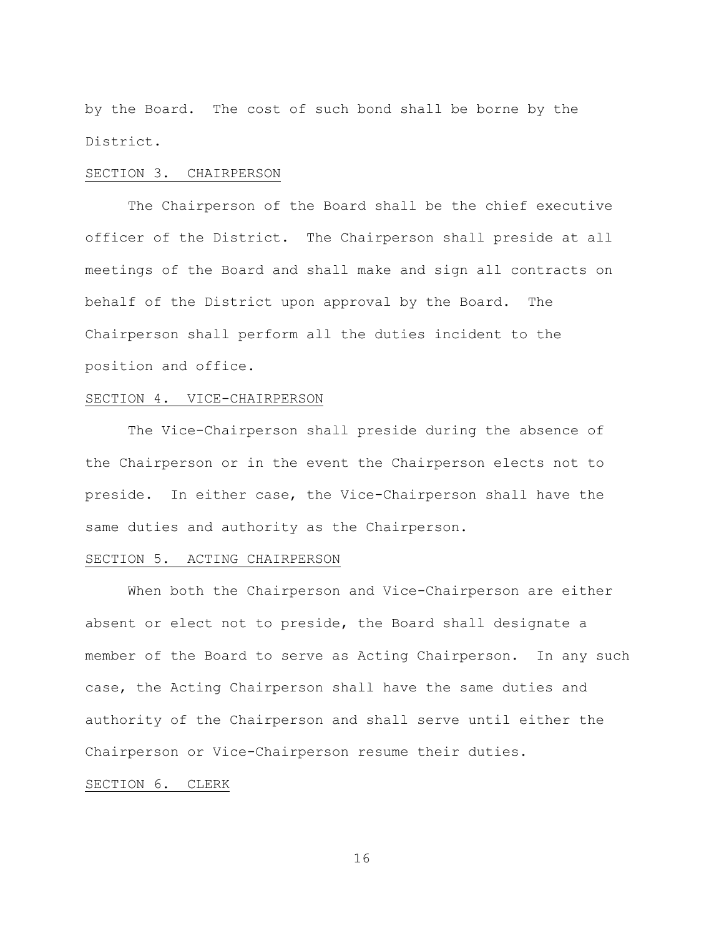by the Board. The cost of such bond shall be borne by the District.

#### SECTION 3. CHAIRPERSON

The Chairperson of the Board shall be the chief executive officer of the District. The Chairperson shall preside at all meetings of the Board and shall make and sign all contracts on behalf of the District upon approval by the Board. The Chairperson shall perform all the duties incident to the position and office.

#### SECTION 4. VICE-CHAIRPERSON

The Vice-Chairperson shall preside during the absence of the Chairperson or in the event the Chairperson elects not to preside. In either case, the Vice-Chairperson shall have the same duties and authority as the Chairperson.

## SECTION 5. ACTING CHAIRPERSON

When both the Chairperson and Vice-Chairperson are either absent or elect not to preside, the Board shall designate a member of the Board to serve as Acting Chairperson. In any such case, the Acting Chairperson shall have the same duties and authority of the Chairperson and shall serve until either the Chairperson or Vice-Chairperson resume their duties.

# SECTION 6. CLERK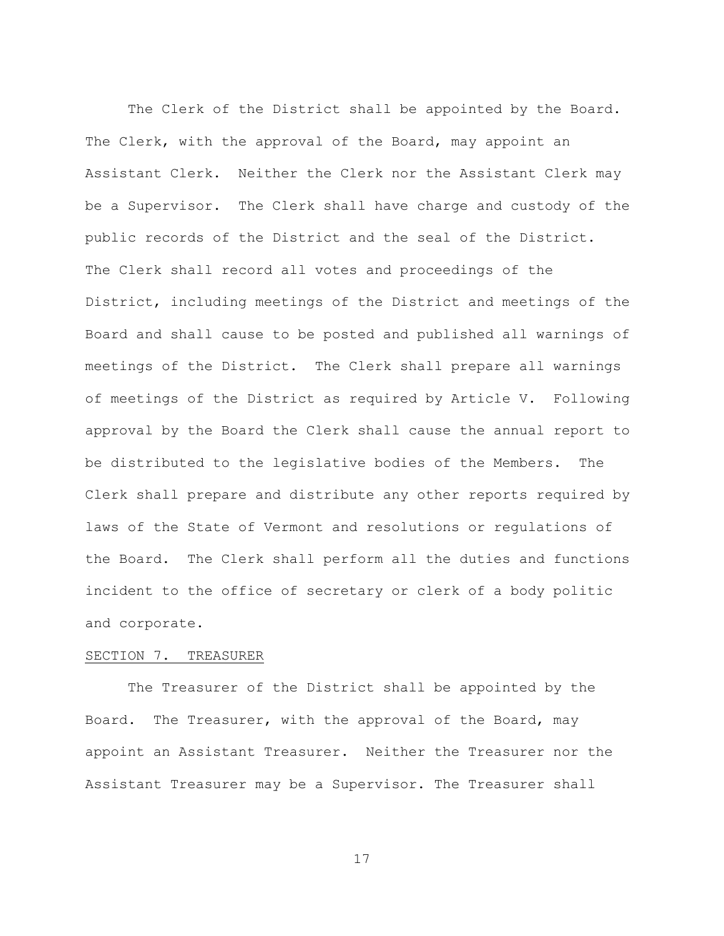The Clerk of the District shall be appointed by the Board. The Clerk, with the approval of the Board, may appoint an Assistant Clerk. Neither the Clerk nor the Assistant Clerk may be a Supervisor. The Clerk shall have charge and custody of the public records of the District and the seal of the District. The Clerk shall record all votes and proceedings of the District, including meetings of the District and meetings of the Board and shall cause to be posted and published all warnings of meetings of the District. The Clerk shall prepare all warnings of meetings of the District as required by Article V. Following approval by the Board the Clerk shall cause the annual report to be distributed to the legislative bodies of the Members. The Clerk shall prepare and distribute any other reports required by laws of the State of Vermont and resolutions or regulations of the Board. The Clerk shall perform all the duties and functions incident to the office of secretary or clerk of a body politic and corporate.

#### SECTION 7. TREASURER

The Treasurer of the District shall be appointed by the Board. The Treasurer, with the approval of the Board, may appoint an Assistant Treasurer. Neither the Treasurer nor the Assistant Treasurer may be a Supervisor. The Treasurer shall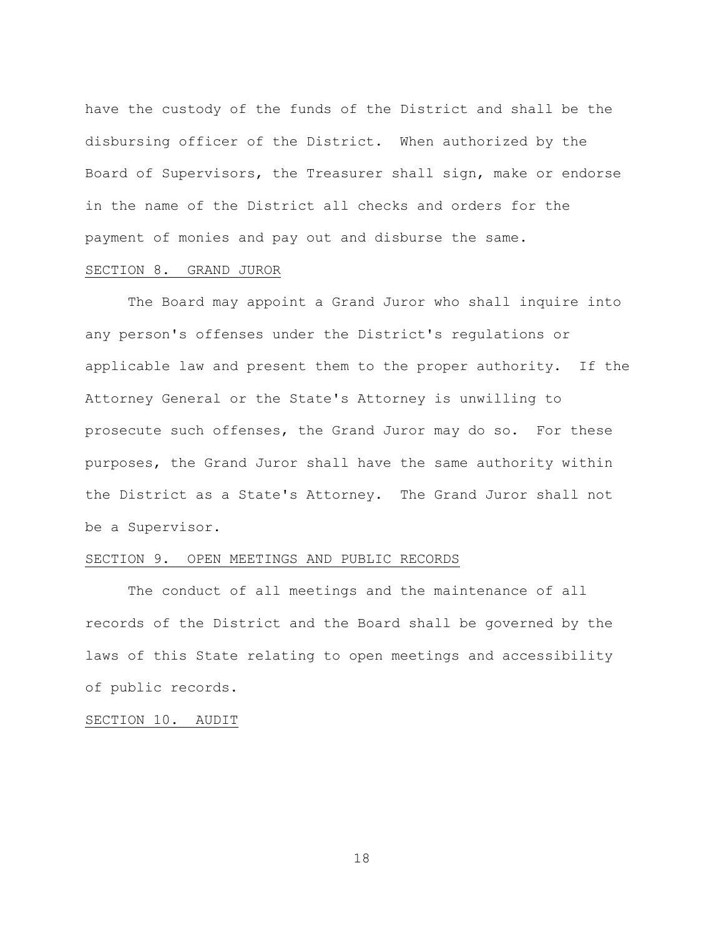have the custody of the funds of the District and shall be the disbursing officer of the District. When authorized by the Board of Supervisors, the Treasurer shall sign, make or endorse in the name of the District all checks and orders for the payment of monies and pay out and disburse the same.

# SECTION 8. GRAND JUROR

The Board may appoint a Grand Juror who shall inquire into any person's offenses under the District's regulations or applicable law and present them to the proper authority. If the Attorney General or the State's Attorney is unwilling to prosecute such offenses, the Grand Juror may do so. For these purposes, the Grand Juror shall have the same authority within the District as a State's Attorney. The Grand Juror shall not be a Supervisor.

## SECTION 9. OPEN MEETINGS AND PUBLIC RECORDS

The conduct of all meetings and the maintenance of all records of the District and the Board shall be governed by the laws of this State relating to open meetings and accessibility of public records.

### SECTION 10. AUDIT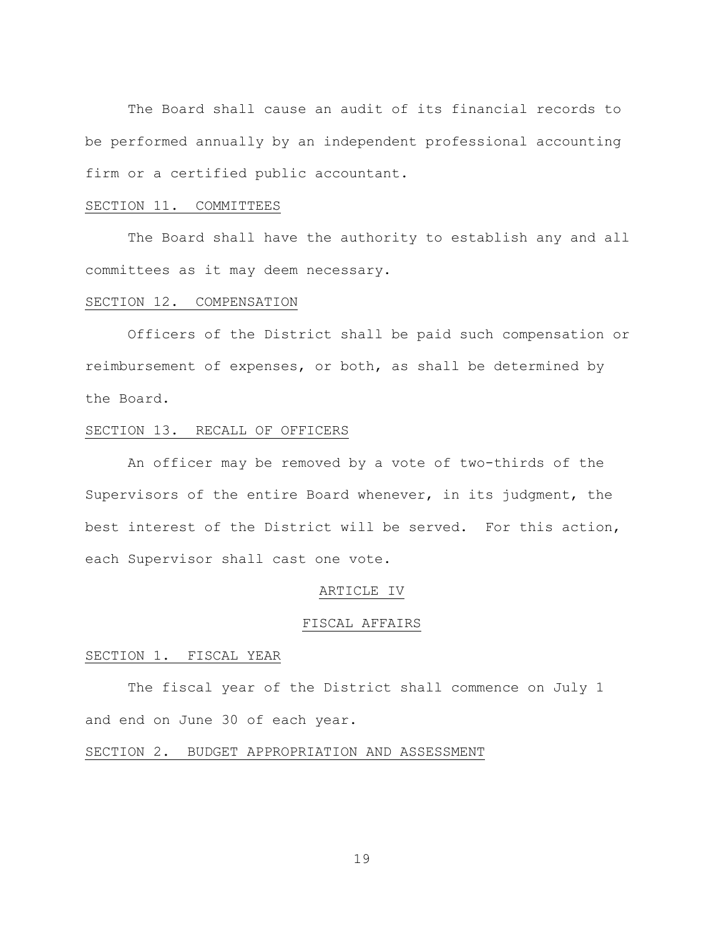The Board shall cause an audit of its financial records to be performed annually by an independent professional accounting firm or a certified public accountant.

### SECTION 11. COMMITTEES

The Board shall have the authority to establish any and all committees as it may deem necessary.

#### SECTION 12. COMPENSATION

Officers of the District shall be paid such compensation or reimbursement of expenses, or both, as shall be determined by the Board.

### SECTION 13. RECALL OF OFFICERS

An officer may be removed by a vote of two-thirds of the Supervisors of the entire Board whenever, in its judgment, the best interest of the District will be served. For this action, each Supervisor shall cast one vote.

#### ARTICLE IV

### FISCAL AFFAIRS

### SECTION 1. FISCAL YEAR

The fiscal year of the District shall commence on July 1 and end on June 30 of each year.

#### SECTION 2. BUDGET APPROPRIATION AND ASSESSMENT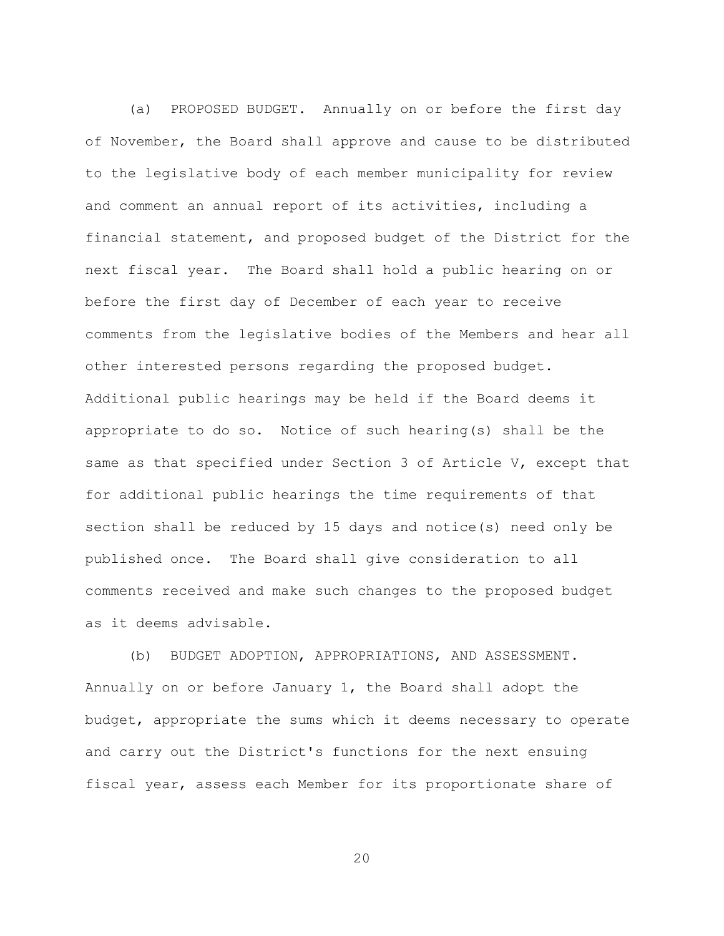(a) PROPOSED BUDGET. Annually on or before the first day of November, the Board shall approve and cause to be distributed to the legislative body of each member municipality for review and comment an annual report of its activities, including a financial statement, and proposed budget of the District for the next fiscal year. The Board shall hold a public hearing on or before the first day of December of each year to receive comments from the legislative bodies of the Members and hear all other interested persons regarding the proposed budget. Additional public hearings may be held if the Board deems it appropriate to do so. Notice of such hearing(s) shall be the same as that specified under Section 3 of Article V, except that for additional public hearings the time requirements of that section shall be reduced by 15 days and notice(s) need only be published once. The Board shall give consideration to all comments received and make such changes to the proposed budget as it deems advisable.

(b) BUDGET ADOPTION, APPROPRIATIONS, AND ASSESSMENT. Annually on or before January 1, the Board shall adopt the budget, appropriate the sums which it deems necessary to operate and carry out the District's functions for the next ensuing fiscal year, assess each Member for its proportionate share of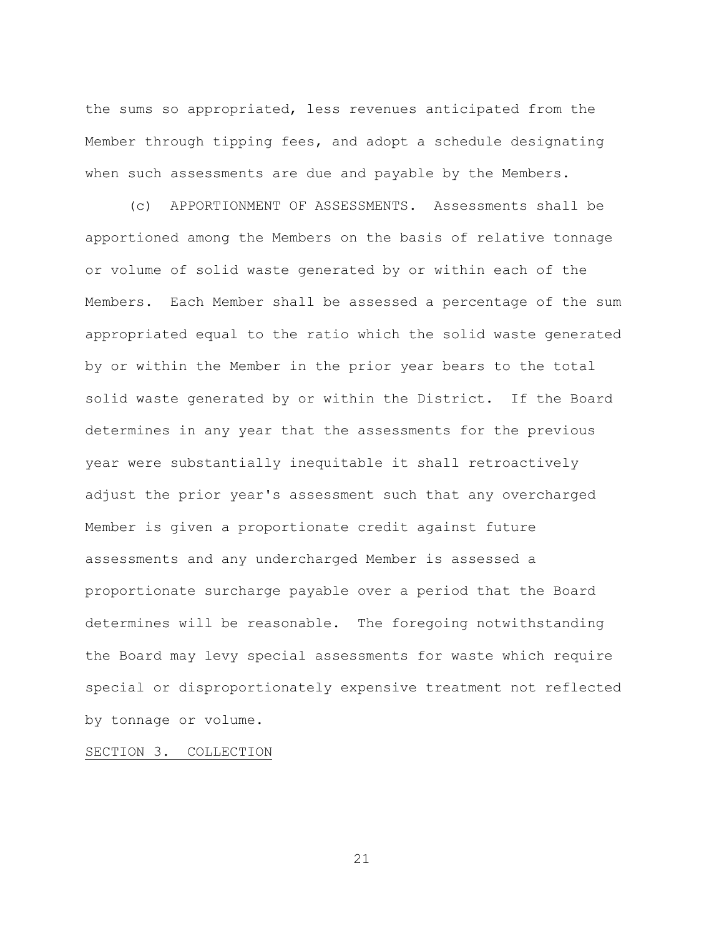the sums so appropriated, less revenues anticipated from the Member through tipping fees, and adopt a schedule designating when such assessments are due and payable by the Members.

(c) APPORTIONMENT OF ASSESSMENTS. Assessments shall be apportioned among the Members on the basis of relative tonnage or volume of solid waste generated by or within each of the Members. Each Member shall be assessed a percentage of the sum appropriated equal to the ratio which the solid waste generated by or within the Member in the prior year bears to the total solid waste generated by or within the District. If the Board determines in any year that the assessments for the previous year were substantially inequitable it shall retroactively adjust the prior year's assessment such that any overcharged Member is given a proportionate credit against future assessments and any undercharged Member is assessed a proportionate surcharge payable over a period that the Board determines will be reasonable. The foregoing notwithstanding the Board may levy special assessments for waste which require special or disproportionately expensive treatment not reflected by tonnage or volume.

SECTION 3. COLLECTION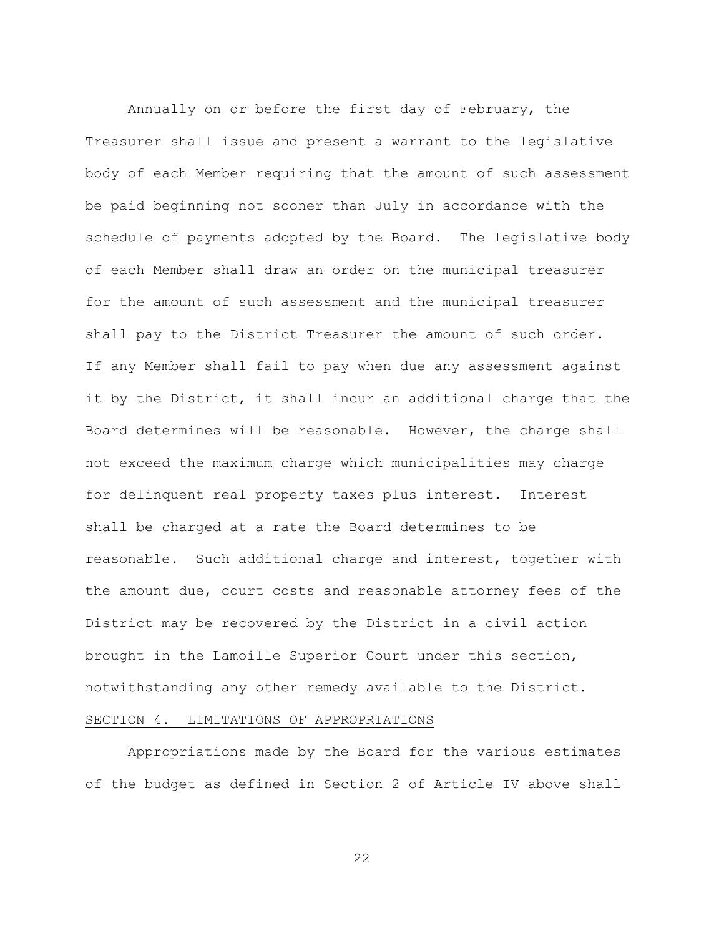Annually on or before the first day of February, the Treasurer shall issue and present a warrant to the legislative body of each Member requiring that the amount of such assessment be paid beginning not sooner than July in accordance with the schedule of payments adopted by the Board. The legislative body of each Member shall draw an order on the municipal treasurer for the amount of such assessment and the municipal treasurer shall pay to the District Treasurer the amount of such order. If any Member shall fail to pay when due any assessment against it by the District, it shall incur an additional charge that the Board determines will be reasonable. However, the charge shall not exceed the maximum charge which municipalities may charge for delinquent real property taxes plus interest. Interest shall be charged at a rate the Board determines to be reasonable. Such additional charge and interest, together with the amount due, court costs and reasonable attorney fees of the District may be recovered by the District in a civil action brought in the Lamoille Superior Court under this section, notwithstanding any other remedy available to the District.

## SECTION 4. LIMITATIONS OF APPROPRIATIONS

Appropriations made by the Board for the various estimates of the budget as defined in Section 2 of Article IV above shall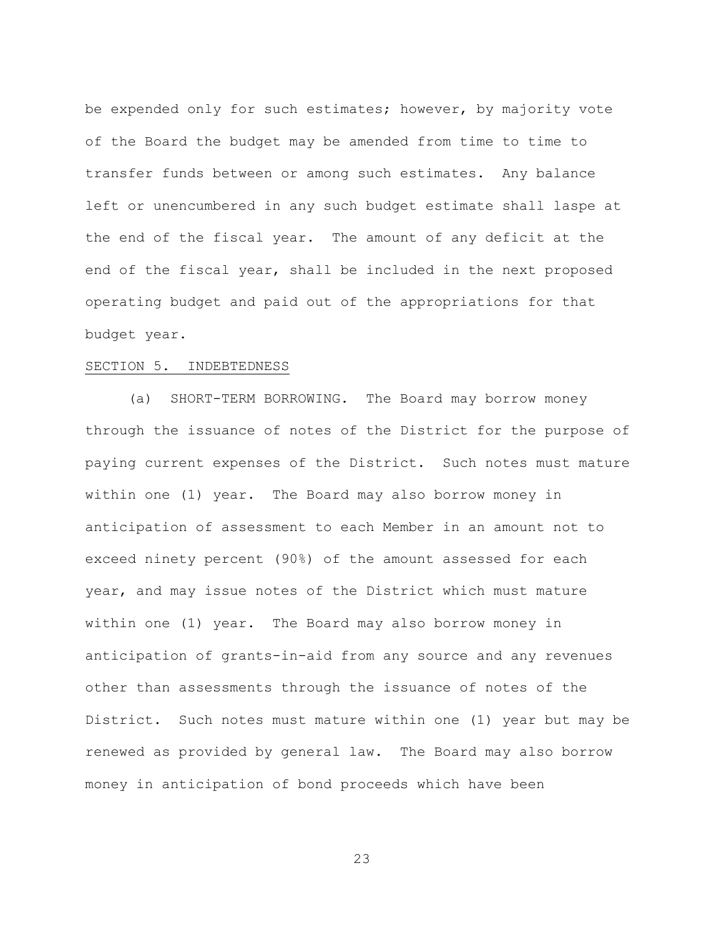be expended only for such estimates; however, by majority vote of the Board the budget may be amended from time to time to transfer funds between or among such estimates. Any balance left or unencumbered in any such budget estimate shall laspe at the end of the fiscal year. The amount of any deficit at the end of the fiscal year, shall be included in the next proposed operating budget and paid out of the appropriations for that budget year.

### SECTION 5. INDEBTEDNESS

(a) SHORT-TERM BORROWING. The Board may borrow money through the issuance of notes of the District for the purpose of paying current expenses of the District. Such notes must mature within one (1) year. The Board may also borrow money in anticipation of assessment to each Member in an amount not to exceed ninety percent (90%) of the amount assessed for each year, and may issue notes of the District which must mature within one (1) year. The Board may also borrow money in anticipation of grants-in-aid from any source and any revenues other than assessments through the issuance of notes of the District. Such notes must mature within one (1) year but may be renewed as provided by general law. The Board may also borrow money in anticipation of bond proceeds which have been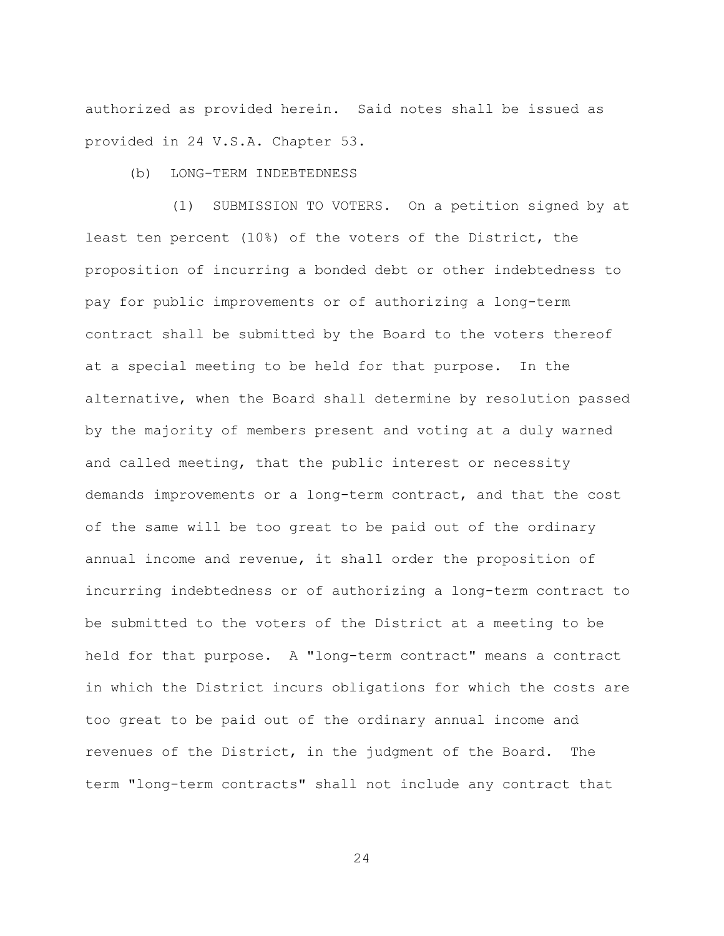authorized as provided herein. Said notes shall be issued as provided in 24 V.S.A. Chapter 53.

(b) LONG-TERM INDEBTEDNESS

 (1) SUBMISSION TO VOTERS. On a petition signed by at least ten percent (10%) of the voters of the District, the proposition of incurring a bonded debt or other indebtedness to pay for public improvements or of authorizing a long-term contract shall be submitted by the Board to the voters thereof at a special meeting to be held for that purpose. In the alternative, when the Board shall determine by resolution passed by the majority of members present and voting at a duly warned and called meeting, that the public interest or necessity demands improvements or a long-term contract, and that the cost of the same will be too great to be paid out of the ordinary annual income and revenue, it shall order the proposition of incurring indebtedness or of authorizing a long-term contract to be submitted to the voters of the District at a meeting to be held for that purpose. A "long-term contract" means a contract in which the District incurs obligations for which the costs are too great to be paid out of the ordinary annual income and revenues of the District, in the judgment of the Board. The term "long-term contracts" shall not include any contract that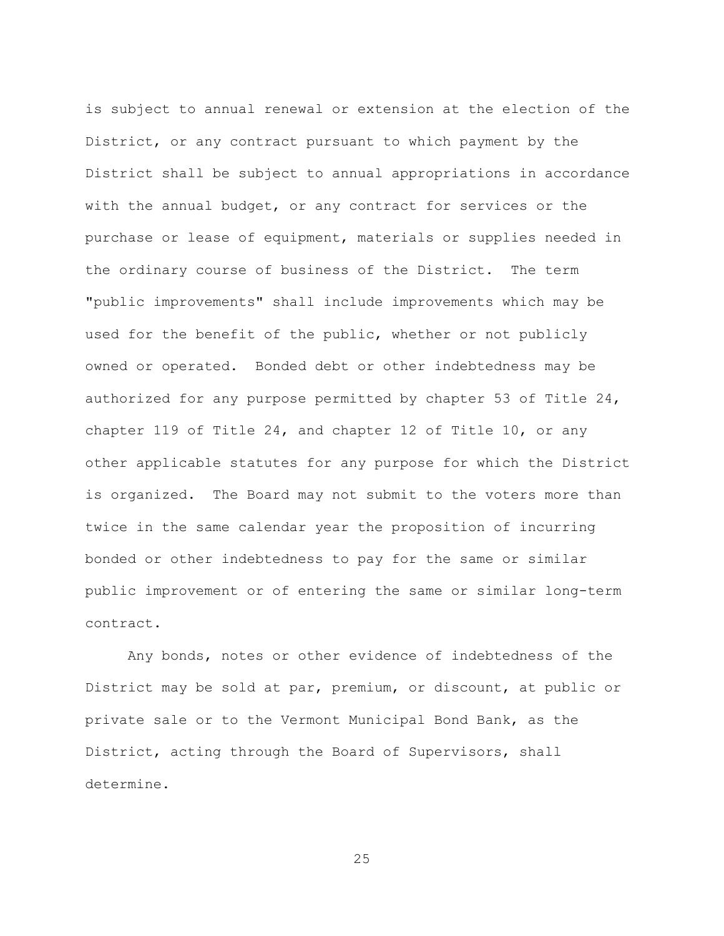is subject to annual renewal or extension at the election of the District, or any contract pursuant to which payment by the District shall be subject to annual appropriations in accordance with the annual budget, or any contract for services or the purchase or lease of equipment, materials or supplies needed in the ordinary course of business of the District. The term "public improvements" shall include improvements which may be used for the benefit of the public, whether or not publicly owned or operated. Bonded debt or other indebtedness may be authorized for any purpose permitted by chapter 53 of Title 24, chapter 119 of Title 24, and chapter 12 of Title 10, or any other applicable statutes for any purpose for which the District is organized. The Board may not submit to the voters more than twice in the same calendar year the proposition of incurring bonded or other indebtedness to pay for the same or similar public improvement or of entering the same or similar long-term contract.

Any bonds, notes or other evidence of indebtedness of the District may be sold at par, premium, or discount, at public or private sale or to the Vermont Municipal Bond Bank, as the District, acting through the Board of Supervisors, shall determine.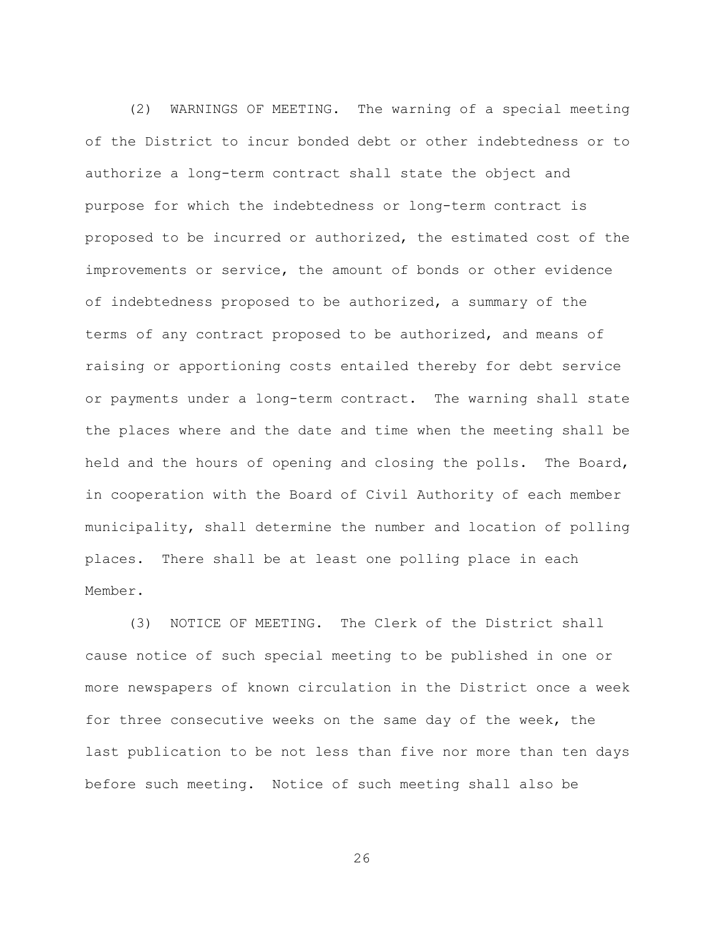(2) WARNINGS OF MEETING. The warning of a special meeting of the District to incur bonded debt or other indebtedness or to authorize a long-term contract shall state the object and purpose for which the indebtedness or long-term contract is proposed to be incurred or authorized, the estimated cost of the improvements or service, the amount of bonds or other evidence of indebtedness proposed to be authorized, a summary of the terms of any contract proposed to be authorized, and means of raising or apportioning costs entailed thereby for debt service or payments under a long-term contract. The warning shall state the places where and the date and time when the meeting shall be held and the hours of opening and closing the polls. The Board, in cooperation with the Board of Civil Authority of each member municipality, shall determine the number and location of polling places. There shall be at least one polling place in each Member.

(3) NOTICE OF MEETING. The Clerk of the District shall cause notice of such special meeting to be published in one or more newspapers of known circulation in the District once a week for three consecutive weeks on the same day of the week, the last publication to be not less than five nor more than ten days before such meeting. Notice of such meeting shall also be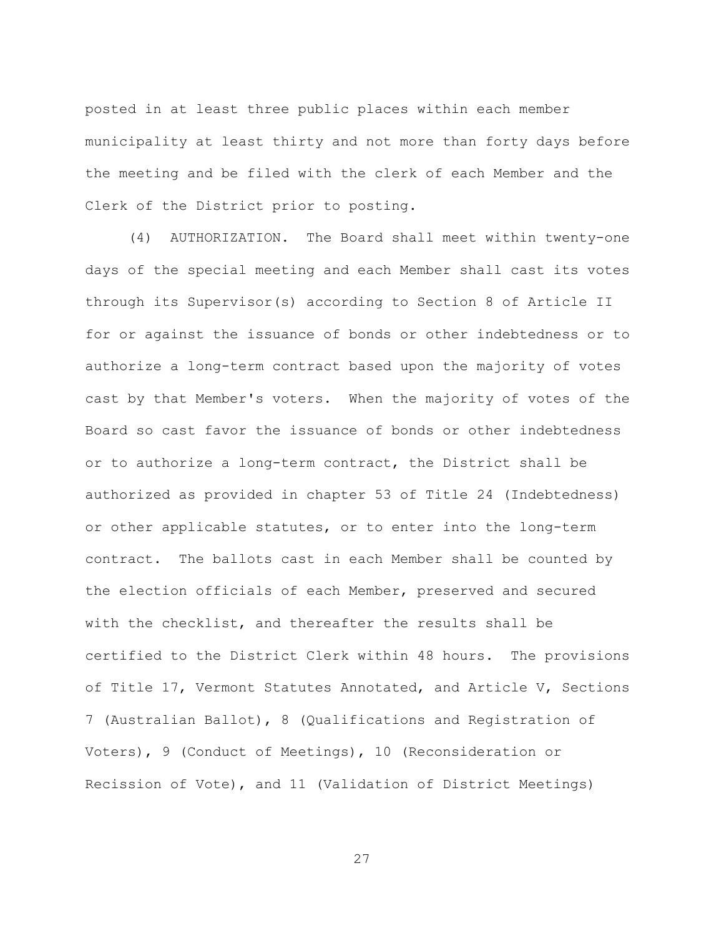posted in at least three public places within each member municipality at least thirty and not more than forty days before the meeting and be filed with the clerk of each Member and the Clerk of the District prior to posting.

(4) AUTHORIZATION. The Board shall meet within twenty-one days of the special meeting and each Member shall cast its votes through its Supervisor(s) according to Section 8 of Article II for or against the issuance of bonds or other indebtedness or to authorize a long-term contract based upon the majority of votes cast by that Member's voters. When the majority of votes of the Board so cast favor the issuance of bonds or other indebtedness or to authorize a long-term contract, the District shall be authorized as provided in chapter 53 of Title 24 (Indebtedness) or other applicable statutes, or to enter into the long-term contract. The ballots cast in each Member shall be counted by the election officials of each Member, preserved and secured with the checklist, and thereafter the results shall be certified to the District Clerk within 48 hours. The provisions of Title 17, Vermont Statutes Annotated, and Article V, Sections 7 (Australian Ballot), 8 (Qualifications and Registration of Voters), 9 (Conduct of Meetings), 10 (Reconsideration or Recission of Vote), and 11 (Validation of District Meetings)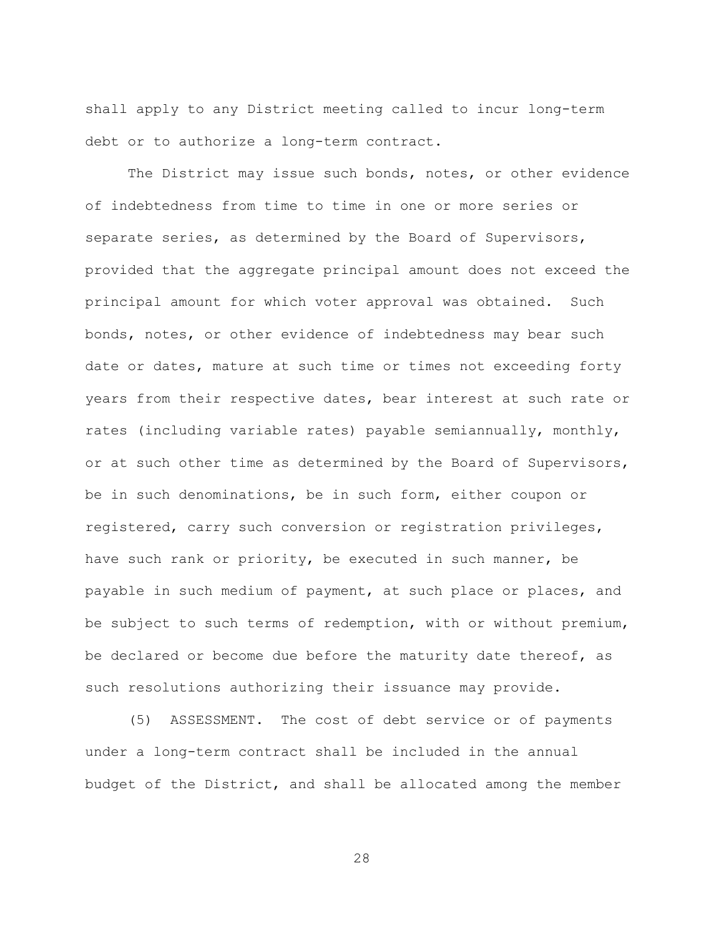shall apply to any District meeting called to incur long-term debt or to authorize a long-term contract.

The District may issue such bonds, notes, or other evidence of indebtedness from time to time in one or more series or separate series, as determined by the Board of Supervisors, provided that the aggregate principal amount does not exceed the principal amount for which voter approval was obtained. Such bonds, notes, or other evidence of indebtedness may bear such date or dates, mature at such time or times not exceeding forty years from their respective dates, bear interest at such rate or rates (including variable rates) payable semiannually, monthly, or at such other time as determined by the Board of Supervisors, be in such denominations, be in such form, either coupon or registered, carry such conversion or registration privileges, have such rank or priority, be executed in such manner, be payable in such medium of payment, at such place or places, and be subject to such terms of redemption, with or without premium, be declared or become due before the maturity date thereof, as such resolutions authorizing their issuance may provide.

(5) ASSESSMENT. The cost of debt service or of payments under a long-term contract shall be included in the annual budget of the District, and shall be allocated among the member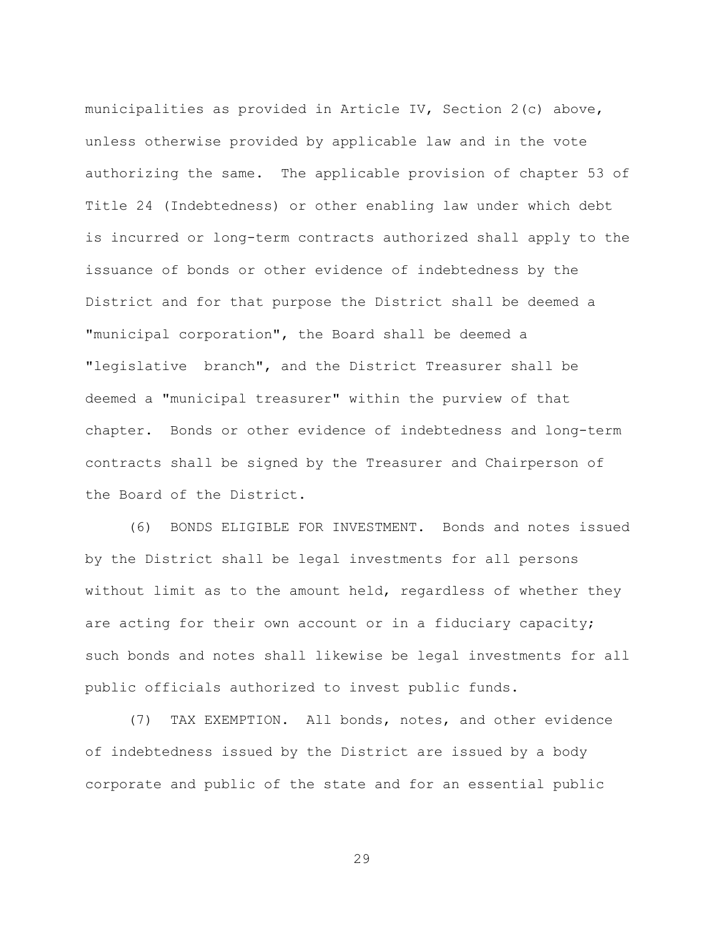municipalities as provided in Article IV, Section 2(c) above, unless otherwise provided by applicable law and in the vote authorizing the same. The applicable provision of chapter 53 of Title 24 (Indebtedness) or other enabling law under which debt is incurred or long-term contracts authorized shall apply to the issuance of bonds or other evidence of indebtedness by the District and for that purpose the District shall be deemed a "municipal corporation", the Board shall be deemed a "legislative branch", and the District Treasurer shall be deemed a "municipal treasurer" within the purview of that chapter. Bonds or other evidence of indebtedness and long-term contracts shall be signed by the Treasurer and Chairperson of the Board of the District.

(6) BONDS ELIGIBLE FOR INVESTMENT. Bonds and notes issued by the District shall be legal investments for all persons without limit as to the amount held, regardless of whether they are acting for their own account or in a fiduciary capacity; such bonds and notes shall likewise be legal investments for all public officials authorized to invest public funds.

(7) TAX EXEMPTION. All bonds, notes, and other evidence of indebtedness issued by the District are issued by a body corporate and public of the state and for an essential public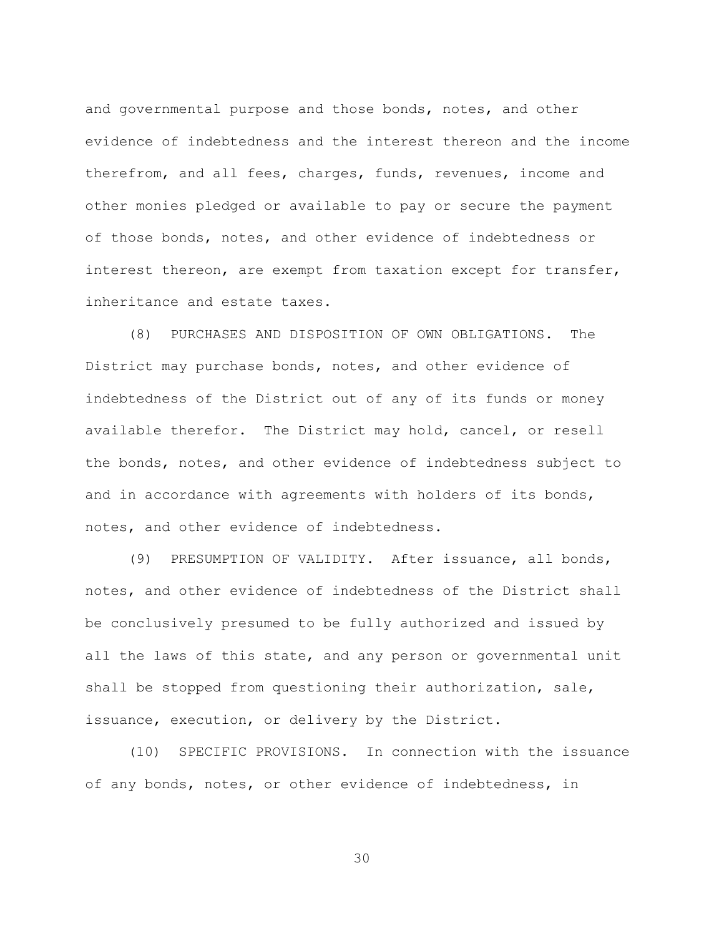and governmental purpose and those bonds, notes, and other evidence of indebtedness and the interest thereon and the income therefrom, and all fees, charges, funds, revenues, income and other monies pledged or available to pay or secure the payment of those bonds, notes, and other evidence of indebtedness or interest thereon, are exempt from taxation except for transfer, inheritance and estate taxes.

(8) PURCHASES AND DISPOSITION OF OWN OBLIGATIONS. The District may purchase bonds, notes, and other evidence of indebtedness of the District out of any of its funds or money available therefor. The District may hold, cancel, or resell the bonds, notes, and other evidence of indebtedness subject to and in accordance with agreements with holders of its bonds, notes, and other evidence of indebtedness.

(9) PRESUMPTION OF VALIDITY. After issuance, all bonds, notes, and other evidence of indebtedness of the District shall be conclusively presumed to be fully authorized and issued by all the laws of this state, and any person or governmental unit shall be stopped from questioning their authorization, sale, issuance, execution, or delivery by the District.

(10) SPECIFIC PROVISIONS. In connection with the issuance of any bonds, notes, or other evidence of indebtedness, in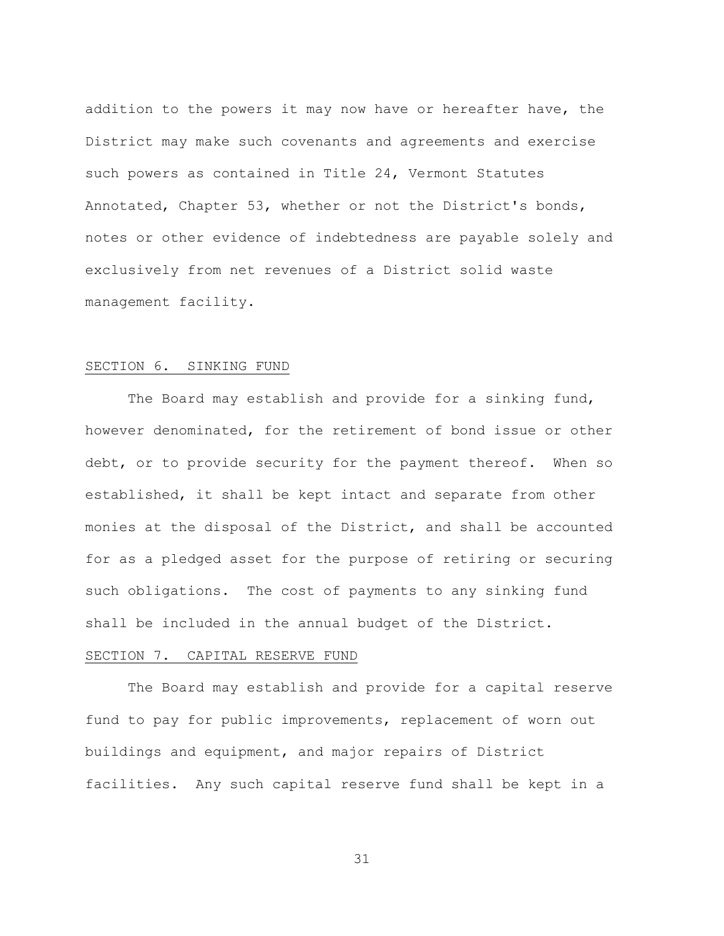addition to the powers it may now have or hereafter have, the District may make such covenants and agreements and exercise such powers as contained in Title 24, Vermont Statutes Annotated, Chapter 53, whether or not the District's bonds, notes or other evidence of indebtedness are payable solely and exclusively from net revenues of a District solid waste management facility.

### SECTION 6. SINKING FUND

The Board may establish and provide for a sinking fund, however denominated, for the retirement of bond issue or other debt, or to provide security for the payment thereof. When so established, it shall be kept intact and separate from other monies at the disposal of the District, and shall be accounted for as a pledged asset for the purpose of retiring or securing such obligations. The cost of payments to any sinking fund shall be included in the annual budget of the District.

## SECTION 7. CAPITAL RESERVE FUND

The Board may establish and provide for a capital reserve fund to pay for public improvements, replacement of worn out buildings and equipment, and major repairs of District facilities. Any such capital reserve fund shall be kept in a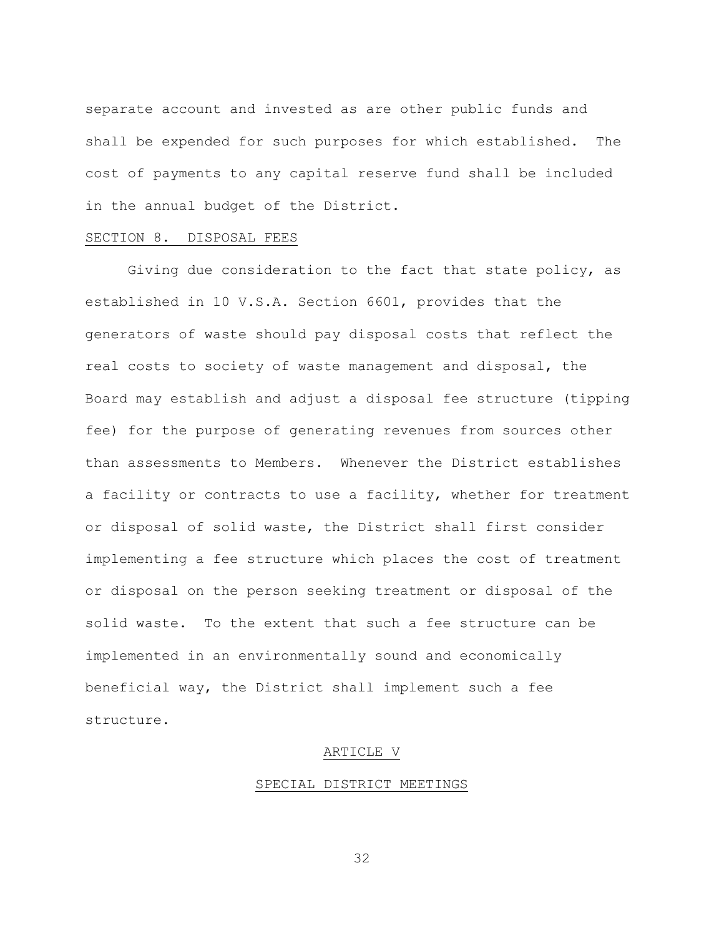separate account and invested as are other public funds and shall be expended for such purposes for which established. The cost of payments to any capital reserve fund shall be included in the annual budget of the District.

### SECTION 8. DISPOSAL FEES

Giving due consideration to the fact that state policy, as established in 10 V.S.A. Section 6601, provides that the generators of waste should pay disposal costs that reflect the real costs to society of waste management and disposal, the Board may establish and adjust a disposal fee structure (tipping fee) for the purpose of generating revenues from sources other than assessments to Members. Whenever the District establishes a facility or contracts to use a facility, whether for treatment or disposal of solid waste, the District shall first consider implementing a fee structure which places the cost of treatment or disposal on the person seeking treatment or disposal of the solid waste. To the extent that such a fee structure can be implemented in an environmentally sound and economically beneficial way, the District shall implement such a fee structure.

#### ARTICLE V

#### SPECIAL DISTRICT MEETINGS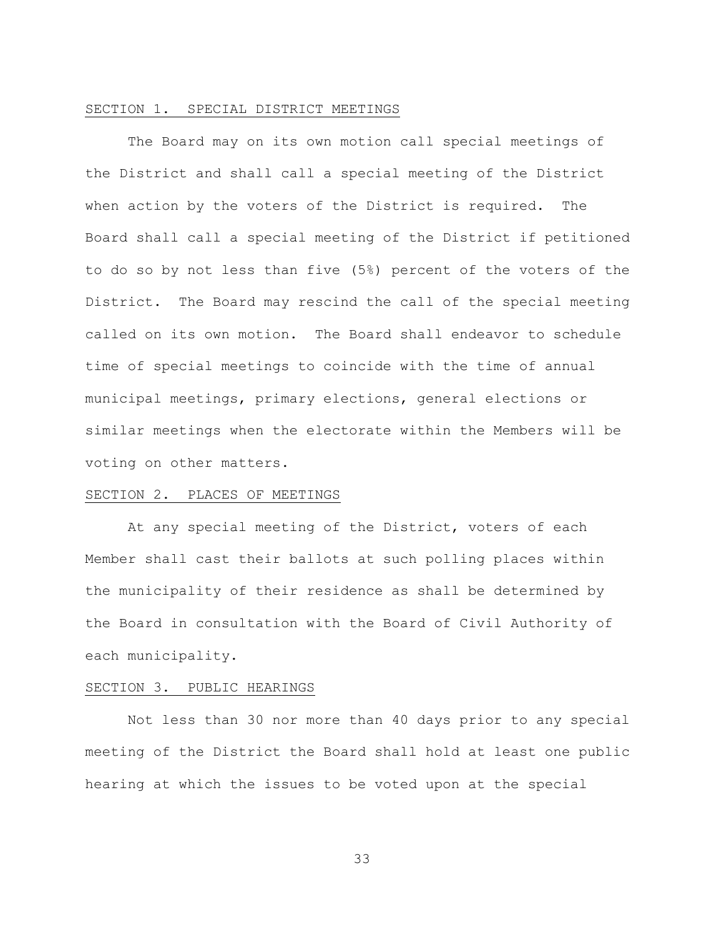#### SECTION 1. SPECIAL DISTRICT MEETINGS

The Board may on its own motion call special meetings of the District and shall call a special meeting of the District when action by the voters of the District is required. The Board shall call a special meeting of the District if petitioned to do so by not less than five (5%) percent of the voters of the District. The Board may rescind the call of the special meeting called on its own motion. The Board shall endeavor to schedule time of special meetings to coincide with the time of annual municipal meetings, primary elections, general elections or similar meetings when the electorate within the Members will be voting on other matters.

#### SECTION 2. PLACES OF MEETINGS

At any special meeting of the District, voters of each Member shall cast their ballots at such polling places within the municipality of their residence as shall be determined by the Board in consultation with the Board of Civil Authority of each municipality.

#### SECTION 3. PUBLIC HEARINGS

Not less than 30 nor more than 40 days prior to any special meeting of the District the Board shall hold at least one public hearing at which the issues to be voted upon at the special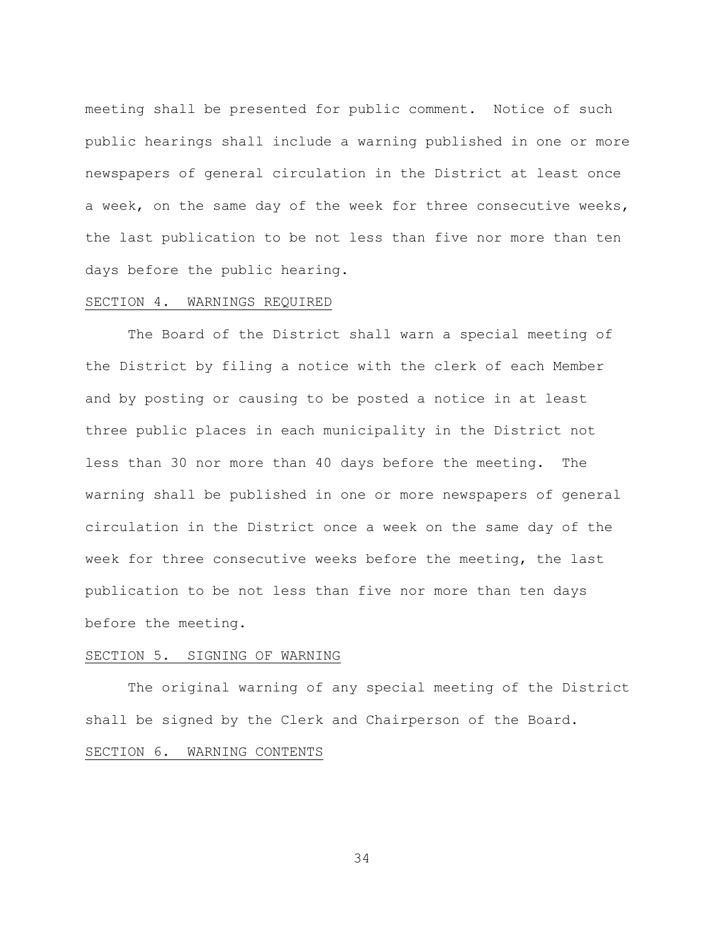meeting shall be presented for public comment. Notice of such public hearings shall include a warning published in one or more newspapers of general circulation in the District at least once a week, on the same day of the week for three consecutive weeks, the last publication to be not less than five nor more than ten days before the public hearing.

#### SECTION 4. WARNINGS REQUIRED

The Board of the District shall warn a special meeting of the District by filing a notice with the clerk of each Member and by posting or causing to be posted a notice in at least three public places in each municipality in the District not less than 30 nor more than 40 days before the meeting. The warning shall be published in one or more newspapers of general circulation in the District once a week on the same day of the week for three consecutive weeks before the meeting, the last publication to be not less than five nor more than ten days before the meeting.

### SECTION 5. SIGNING OF WARNING

The original warning of any special meeting of the District shall be signed by the Clerk and Chairperson of the Board. SECTION 6. WARNING CONTENTS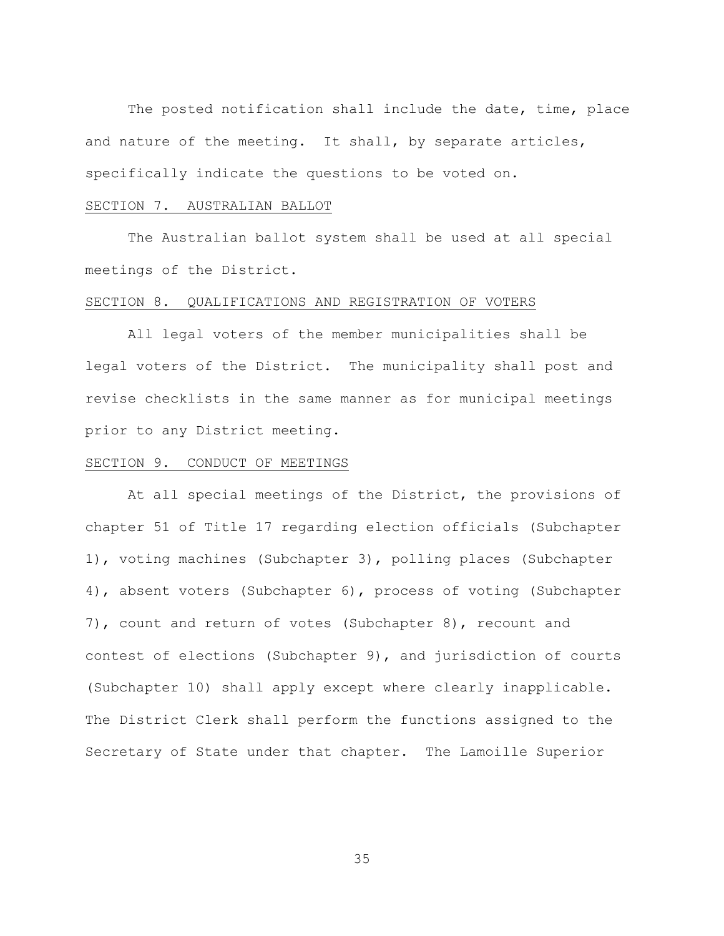The posted notification shall include the date, time, place and nature of the meeting. It shall, by separate articles, specifically indicate the questions to be voted on.

#### SECTION 7. AUSTRALIAN BALLOT

The Australian ballot system shall be used at all special meetings of the District.

#### SECTION 8. QUALIFICATIONS AND REGISTRATION OF VOTERS

All legal voters of the member municipalities shall be legal voters of the District. The municipality shall post and revise checklists in the same manner as for municipal meetings prior to any District meeting.

### SECTION 9. CONDUCT OF MEETINGS

At all special meetings of the District, the provisions of chapter 51 of Title 17 regarding election officials (Subchapter 1), voting machines (Subchapter 3), polling places (Subchapter 4), absent voters (Subchapter 6), process of voting (Subchapter 7), count and return of votes (Subchapter 8), recount and contest of elections (Subchapter 9), and jurisdiction of courts (Subchapter 10) shall apply except where clearly inapplicable. The District Clerk shall perform the functions assigned to the Secretary of State under that chapter. The Lamoille Superior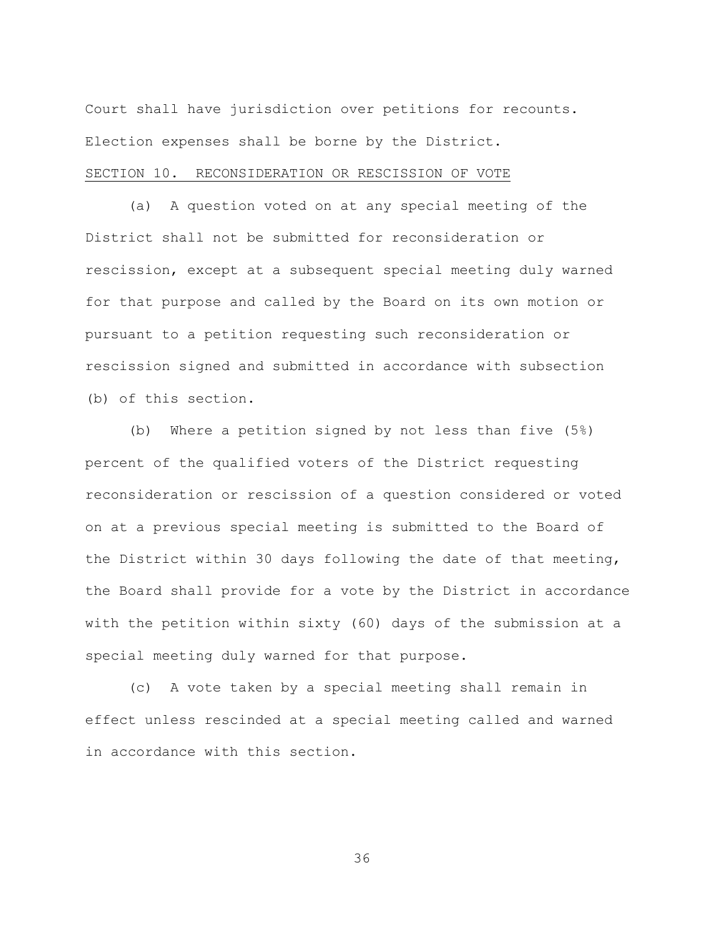Court shall have jurisdiction over petitions for recounts. Election expenses shall be borne by the District.

# SECTION 10. RECONSIDERATION OR RESCISSION OF VOTE

(a) A question voted on at any special meeting of the District shall not be submitted for reconsideration or rescission, except at a subsequent special meeting duly warned for that purpose and called by the Board on its own motion or pursuant to a petition requesting such reconsideration or rescission signed and submitted in accordance with subsection (b) of this section.

(b) Where a petition signed by not less than five (5%) percent of the qualified voters of the District requesting reconsideration or rescission of a question considered or voted on at a previous special meeting is submitted to the Board of the District within 30 days following the date of that meeting, the Board shall provide for a vote by the District in accordance with the petition within sixty (60) days of the submission at a special meeting duly warned for that purpose.

(c) A vote taken by a special meeting shall remain in effect unless rescinded at a special meeting called and warned in accordance with this section.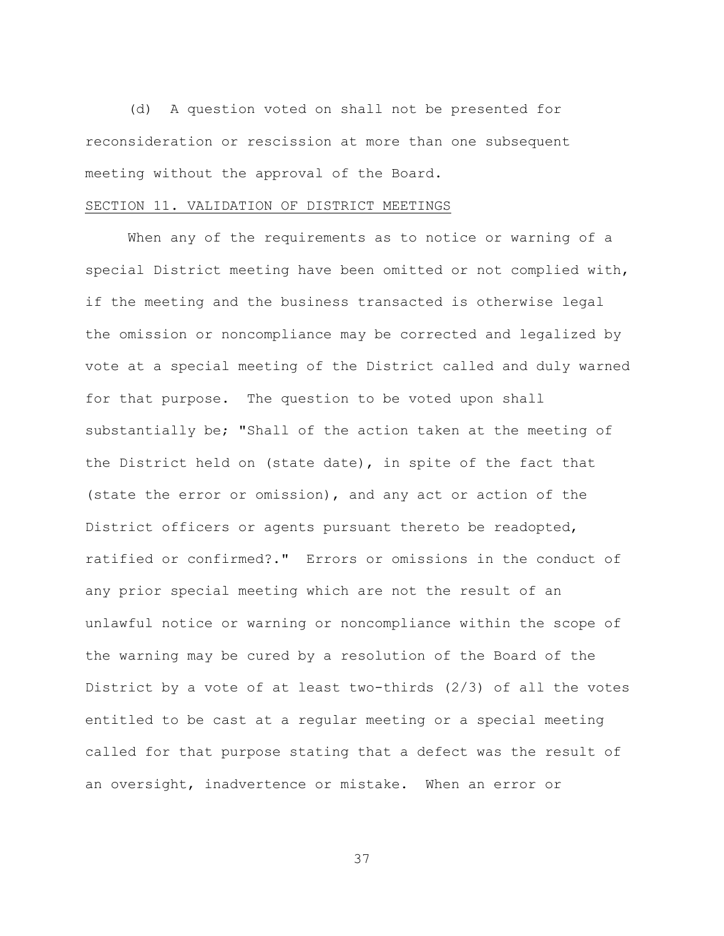(d) A question voted on shall not be presented for reconsideration or rescission at more than one subsequent meeting without the approval of the Board.

#### SECTION 11. VALIDATION OF DISTRICT MEETINGS

When any of the requirements as to notice or warning of a special District meeting have been omitted or not complied with, if the meeting and the business transacted is otherwise legal the omission or noncompliance may be corrected and legalized by vote at a special meeting of the District called and duly warned for that purpose. The question to be voted upon shall substantially be; "Shall of the action taken at the meeting of the District held on (state date), in spite of the fact that (state the error or omission), and any act or action of the District officers or agents pursuant thereto be readopted, ratified or confirmed?." Errors or omissions in the conduct of any prior special meeting which are not the result of an unlawful notice or warning or noncompliance within the scope of the warning may be cured by a resolution of the Board of the District by a vote of at least two-thirds (2/3) of all the votes entitled to be cast at a regular meeting or a special meeting called for that purpose stating that a defect was the result of an oversight, inadvertence or mistake. When an error or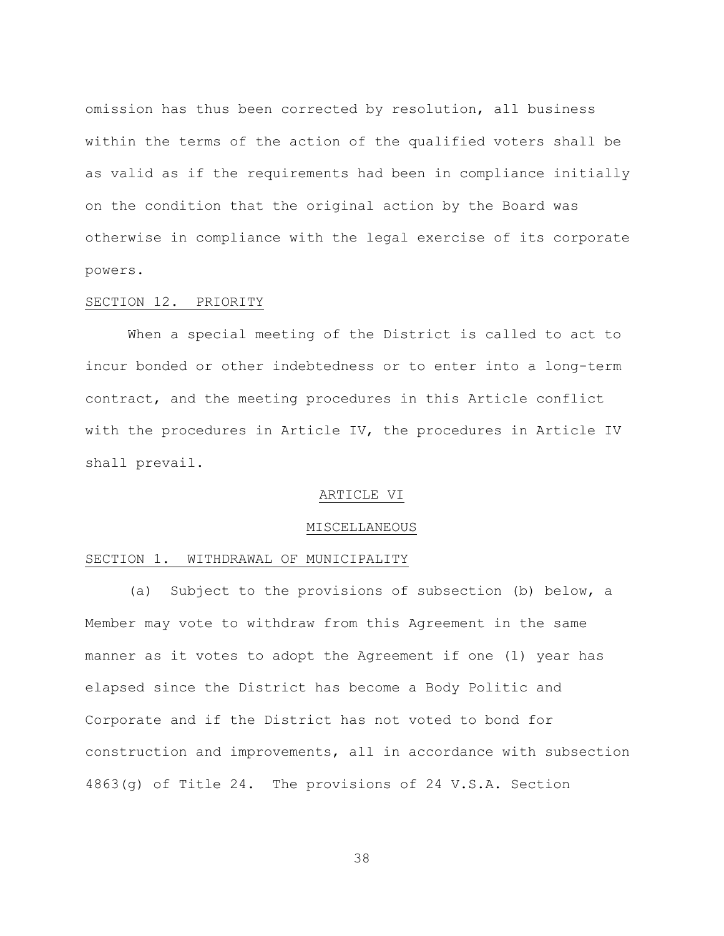omission has thus been corrected by resolution, all business within the terms of the action of the qualified voters shall be as valid as if the requirements had been in compliance initially on the condition that the original action by the Board was otherwise in compliance with the legal exercise of its corporate powers.

#### SECTION 12. PRIORITY

When a special meeting of the District is called to act to incur bonded or other indebtedness or to enter into a long-term contract, and the meeting procedures in this Article conflict with the procedures in Article IV, the procedures in Article IV shall prevail.

### ARTICLE VI

#### MISCELLANEOUS

### SECTION 1. WITHDRAWAL OF MUNICIPALITY

(a) Subject to the provisions of subsection (b) below, a Member may vote to withdraw from this Agreement in the same manner as it votes to adopt the Agreement if one (1) year has elapsed since the District has become a Body Politic and Corporate and if the District has not voted to bond for construction and improvements, all in accordance with subsection 4863(g) of Title 24. The provisions of 24 V.S.A. Section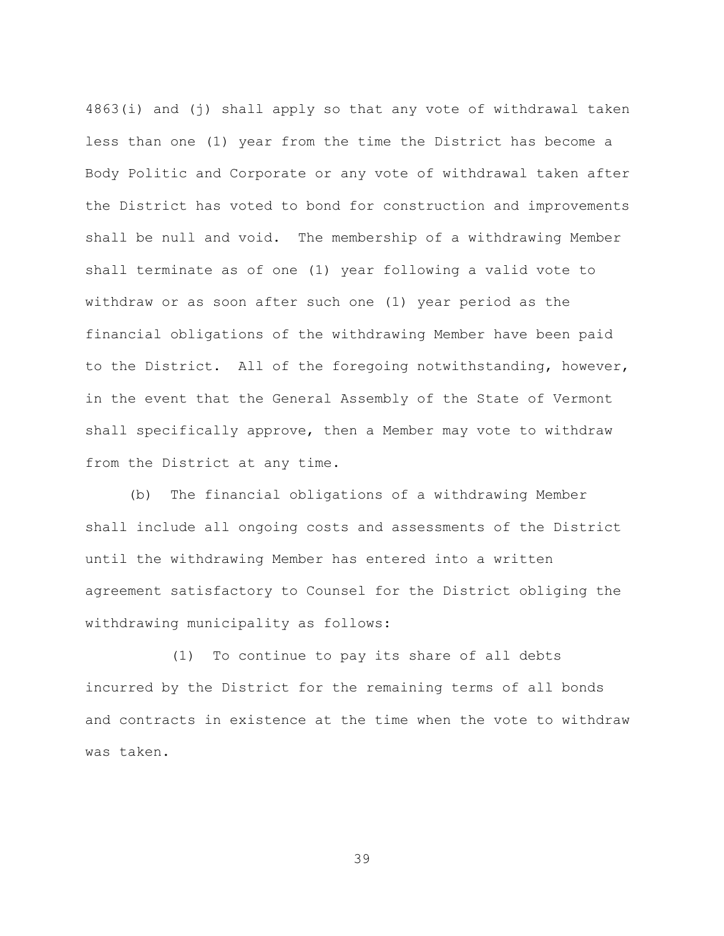4863(i) and (j) shall apply so that any vote of withdrawal taken less than one (1) year from the time the District has become a Body Politic and Corporate or any vote of withdrawal taken after the District has voted to bond for construction and improvements shall be null and void. The membership of a withdrawing Member shall terminate as of one (1) year following a valid vote to withdraw or as soon after such one (1) year period as the financial obligations of the withdrawing Member have been paid to the District. All of the foregoing notwithstanding, however, in the event that the General Assembly of the State of Vermont shall specifically approve, then a Member may vote to withdraw from the District at any time.

(b) The financial obligations of a withdrawing Member shall include all ongoing costs and assessments of the District until the withdrawing Member has entered into a written agreement satisfactory to Counsel for the District obliging the withdrawing municipality as follows:

(1) To continue to pay its share of all debts incurred by the District for the remaining terms of all bonds and contracts in existence at the time when the vote to withdraw was taken.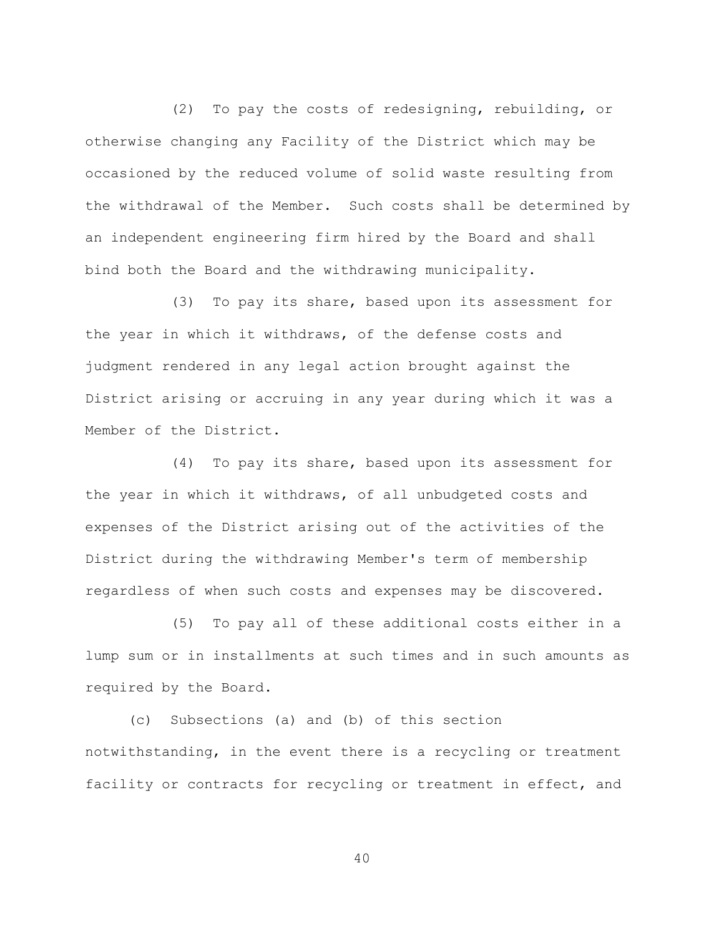(2) To pay the costs of redesigning, rebuilding, or otherwise changing any Facility of the District which may be occasioned by the reduced volume of solid waste resulting from the withdrawal of the Member. Such costs shall be determined by an independent engineering firm hired by the Board and shall bind both the Board and the withdrawing municipality.

(3) To pay its share, based upon its assessment for the year in which it withdraws, of the defense costs and judgment rendered in any legal action brought against the District arising or accruing in any year during which it was a Member of the District.

(4) To pay its share, based upon its assessment for the year in which it withdraws, of all unbudgeted costs and expenses of the District arising out of the activities of the District during the withdrawing Member's term of membership regardless of when such costs and expenses may be discovered.

(5) To pay all of these additional costs either in a lump sum or in installments at such times and in such amounts as required by the Board.

(c) Subsections (a) and (b) of this section notwithstanding, in the event there is a recycling or treatment facility or contracts for recycling or treatment in effect, and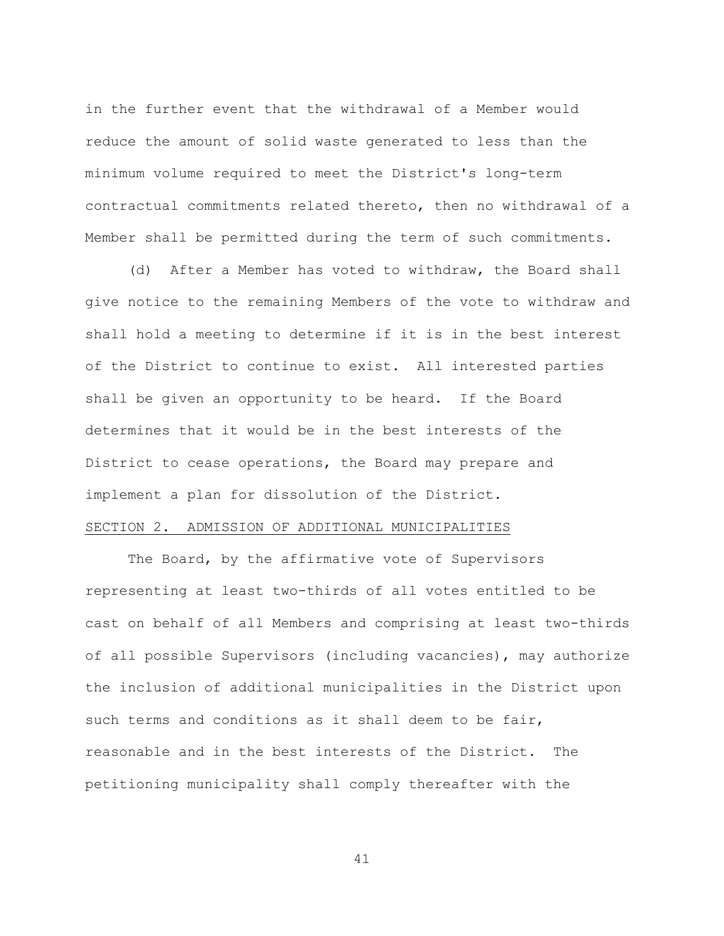in the further event that the withdrawal of a Member would reduce the amount of solid waste generated to less than the minimum volume required to meet the District's long-term contractual commitments related thereto, then no withdrawal of a Member shall be permitted during the term of such commitments.

(d) After a Member has voted to withdraw, the Board shall give notice to the remaining Members of the vote to withdraw and shall hold a meeting to determine if it is in the best interest of the District to continue to exist. All interested parties shall be given an opportunity to be heard. If the Board determines that it would be in the best interests of the District to cease operations, the Board may prepare and implement a plan for dissolution of the District.

## SECTION 2. ADMISSION OF ADDITIONAL MUNICIPALITIES

The Board, by the affirmative vote of Supervisors representing at least two-thirds of all votes entitled to be cast on behalf of all Members and comprising at least two-thirds of all possible Supervisors (including vacancies), may authorize the inclusion of additional municipalities in the District upon such terms and conditions as it shall deem to be fair, reasonable and in the best interests of the District. The petitioning municipality shall comply thereafter with the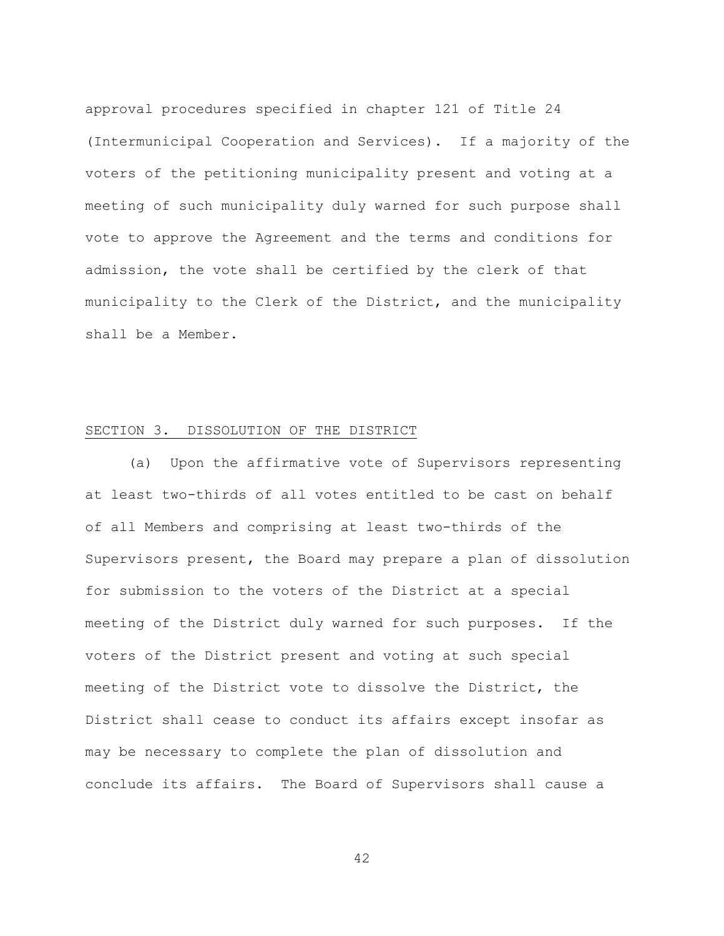approval procedures specified in chapter 121 of Title 24 (Intermunicipal Cooperation and Services). If a majority of the voters of the petitioning municipality present and voting at a meeting of such municipality duly warned for such purpose shall vote to approve the Agreement and the terms and conditions for admission, the vote shall be certified by the clerk of that municipality to the Clerk of the District, and the municipality shall be a Member.

## SECTION 3. DISSOLUTION OF THE DISTRICT

(a) Upon the affirmative vote of Supervisors representing at least two-thirds of all votes entitled to be cast on behalf of all Members and comprising at least two-thirds of the Supervisors present, the Board may prepare a plan of dissolution for submission to the voters of the District at a special meeting of the District duly warned for such purposes. If the voters of the District present and voting at such special meeting of the District vote to dissolve the District, the District shall cease to conduct its affairs except insofar as may be necessary to complete the plan of dissolution and conclude its affairs. The Board of Supervisors shall cause a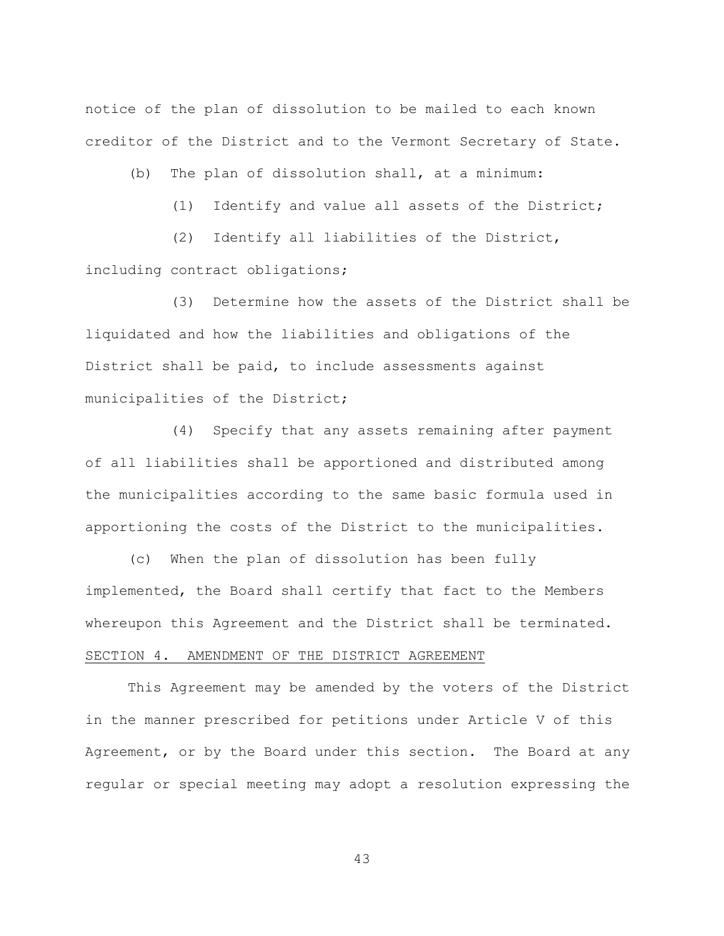notice of the plan of dissolution to be mailed to each known creditor of the District and to the Vermont Secretary of State.

(b) The plan of dissolution shall, at a minimum:

(1) Identify and value all assets of the District;

(2) Identify all liabilities of the District,

including contract obligations;

(3) Determine how the assets of the District shall be liquidated and how the liabilities and obligations of the District shall be paid, to include assessments against municipalities of the District;

(4) Specify that any assets remaining after payment of all liabilities shall be apportioned and distributed among the municipalities according to the same basic formula used in apportioning the costs of the District to the municipalities.

(c) When the plan of dissolution has been fully implemented, the Board shall certify that fact to the Members whereupon this Agreement and the District shall be terminated. SECTION 4. AMENDMENT OF THE DISTRICT AGREEMENT

This Agreement may be amended by the voters of the District in the manner prescribed for petitions under Article V of this Agreement, or by the Board under this section. The Board at any regular or special meeting may adopt a resolution expressing the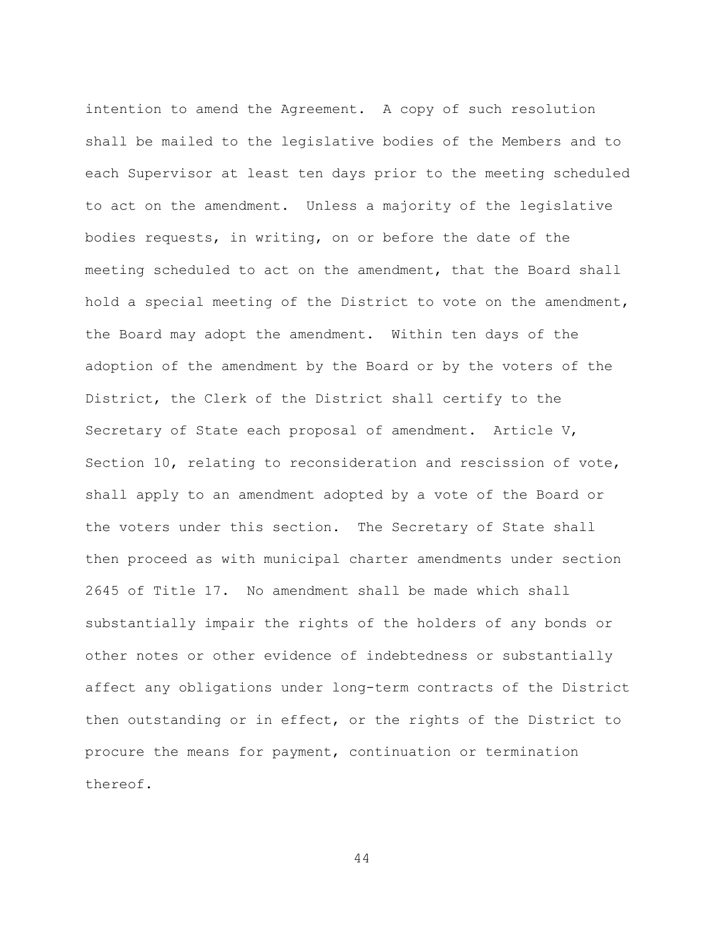intention to amend the Agreement. A copy of such resolution shall be mailed to the legislative bodies of the Members and to each Supervisor at least ten days prior to the meeting scheduled to act on the amendment. Unless a majority of the legislative bodies requests, in writing, on or before the date of the meeting scheduled to act on the amendment, that the Board shall hold a special meeting of the District to vote on the amendment, the Board may adopt the amendment. Within ten days of the adoption of the amendment by the Board or by the voters of the District, the Clerk of the District shall certify to the Secretary of State each proposal of amendment. Article V, Section 10, relating to reconsideration and rescission of vote, shall apply to an amendment adopted by a vote of the Board or the voters under this section. The Secretary of State shall then proceed as with municipal charter amendments under section 2645 of Title 17. No amendment shall be made which shall substantially impair the rights of the holders of any bonds or other notes or other evidence of indebtedness or substantially affect any obligations under long-term contracts of the District then outstanding or in effect, or the rights of the District to procure the means for payment, continuation or termination thereof.